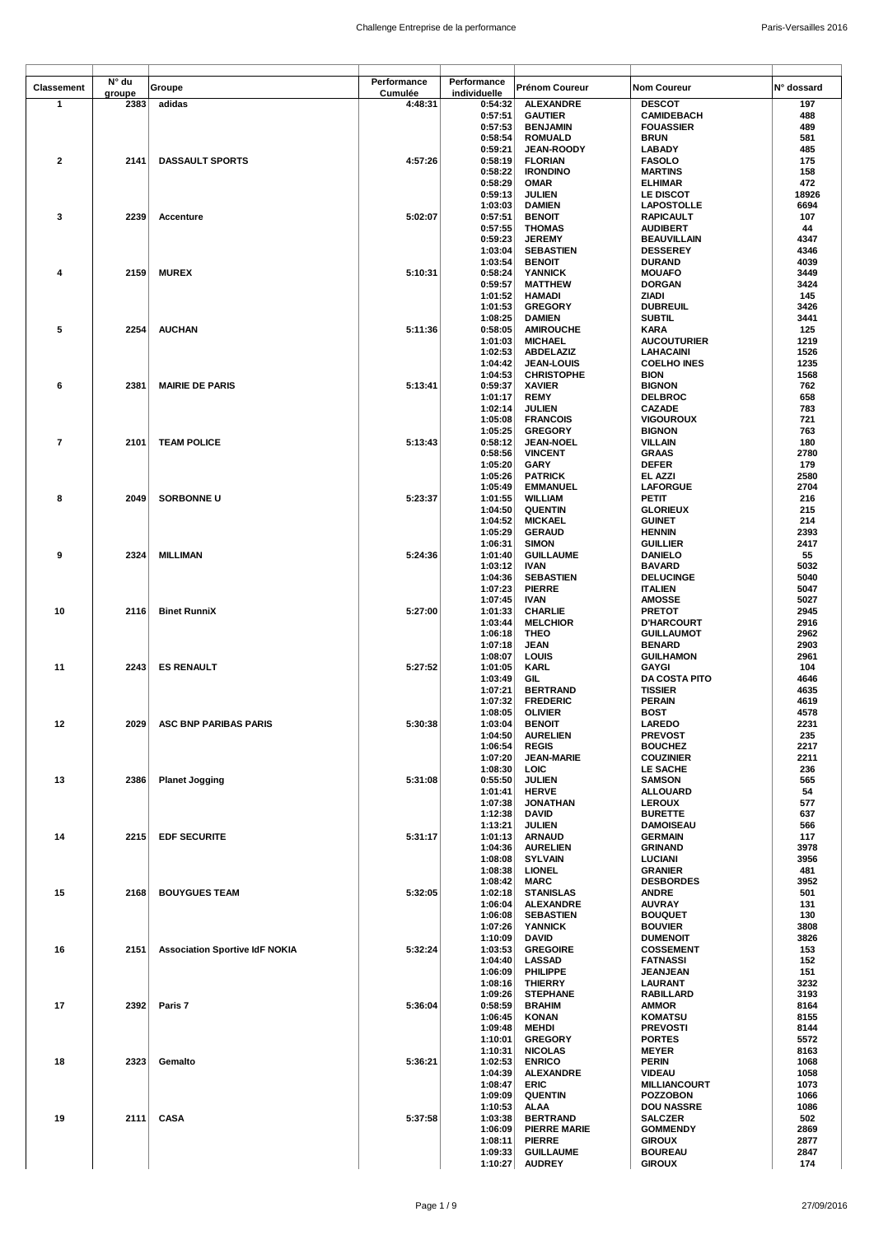| <b>Classement</b>       | N° du  | Groupe                                | Performance | Performance        | <b>Prénom Coureur</b>              | <b>Nom Coureur</b>                    | N° dossard   |
|-------------------------|--------|---------------------------------------|-------------|--------------------|------------------------------------|---------------------------------------|--------------|
|                         | groupe |                                       | Cumulée     | individuelle       |                                    |                                       |              |
| $\mathbf{1}$            | 2383   | adidas                                | 4:48:31     | 0:54:32<br>0:57:51 | <b>ALEXANDRE</b><br><b>GAUTIER</b> | <b>DESCOT</b><br><b>CAMIDEBACH</b>    | 197<br>488   |
|                         |        |                                       |             | 0:57:53            | <b>BENJAMIN</b>                    | <b>FOUASSIER</b>                      | 489          |
|                         |        |                                       |             | 0:58:54            | <b>ROMUALD</b>                     | <b>BRUN</b>                           | 581          |
|                         |        |                                       |             | 0:59:21            | JEAN-ROODY                         | <b>LABADY</b>                         | 485          |
| 2                       | 2141   | <b>DASSAULT SPORTS</b>                | 4:57:26     | 0:58:19            | <b>FLORIAN</b>                     | <b>FASOLO</b>                         | 175          |
|                         |        |                                       |             | 0:58:22            | <b>IRONDINO</b>                    | <b>MARTINS</b>                        | 158          |
|                         |        |                                       |             | 0:58:29            | <b>OMAR</b>                        | <b>ELHIMAR</b>                        | 472          |
|                         |        |                                       |             | 0:59:13            | <b>JULIEN</b>                      | LE DISCOT                             | 18926        |
| 3                       | 2239   | Accenture                             | 5:02:07     | 1:03:03            | <b>DAMIEN</b>                      | <b>LAPOSTOLLE</b><br><b>RAPICAULT</b> | 6694<br>107  |
|                         |        |                                       |             | 0:57:51<br>0:57:55 | <b>BENOIT</b><br><b>THOMAS</b>     | <b>AUDIBERT</b>                       | 44           |
|                         |        |                                       |             | 0:59:23            | <b>JEREMY</b>                      | <b>BEAUVILLAIN</b>                    | 4347         |
|                         |        |                                       |             | 1:03:04            | <b>SEBASTIEN</b>                   | <b>DESSEREY</b>                       | 4346         |
|                         |        |                                       |             | 1:03:54            | <b>BENOIT</b>                      | <b>DURAND</b>                         | 4039         |
| 4                       | 2159   | <b>MUREX</b>                          | 5:10:31     | 0:58:24            | <b>YANNICK</b>                     | <b>MOUAFO</b>                         | 3449         |
|                         |        |                                       |             | 0:59:57            | <b>MATTHEW</b>                     | <b>DORGAN</b>                         | 3424         |
|                         |        |                                       |             | 1:01:52<br>1:01:53 | <b>HAMADI</b>                      | ZIADI<br><b>DUBREUIL</b>              | 145<br>3426  |
|                         |        |                                       |             | 1:08:25            | <b>GREGORY</b><br><b>DAMIEN</b>    | <b>SUBTIL</b>                         | 3441         |
| 5                       | 2254   | <b>AUCHAN</b>                         | 5:11:36     | 0:58:05            | <b>AMIROUCHE</b>                   | KARA                                  | 125          |
|                         |        |                                       |             | 1:01:03            | <b>MICHAEL</b>                     | <b>AUCOUTURIER</b>                    | 1219         |
|                         |        |                                       |             | 1:02:53            | <b>ABDELAZIZ</b>                   | <b>LAHACAINI</b>                      | 1526         |
|                         |        |                                       |             | 1:04:42            | <b>JEAN-LOUIS</b>                  | <b>COELHO INES</b>                    | 1235         |
|                         |        |                                       |             | 1:04:53            | <b>CHRISTOPHE</b>                  | <b>BION</b>                           | 1568         |
| 6                       | 2381   | <b>MAIRIE DE PARIS</b>                | 5:13:41     | 0:59:37            | <b>XAVIER</b>                      | <b>BIGNON</b>                         | 762          |
|                         |        |                                       |             | 1:01:17            | <b>REMY</b>                        | <b>DELBROC</b><br><b>CAZADE</b>       | 658<br>783   |
|                         |        |                                       |             | 1:02:14<br>1:05:08 | <b>JULIEN</b><br><b>FRANCOIS</b>   | <b>VIGOUROUX</b>                      | 721          |
|                         |        |                                       |             | 1:05:25            | <b>GREGORY</b>                     | <b>BIGNON</b>                         | 763          |
| $\overline{\mathbf{r}}$ | 2101   | <b>TEAM POLICE</b>                    | 5:13:43     | 0:58:12            | <b>JEAN-NOEL</b>                   | <b>VILLAIN</b>                        | 180          |
|                         |        |                                       |             | 0:58:56            | <b>VINCENT</b>                     | <b>GRAAS</b>                          | 2780         |
|                         |        |                                       |             | 1:05:20            | <b>GARY</b>                        | <b>DEFER</b>                          | 179          |
|                         |        |                                       |             | 1:05:26            | <b>PATRICK</b>                     | EL AZZI                               | 2580         |
|                         |        |                                       |             | 1:05:49            | <b>EMMANUEL</b>                    | <b>LAFORGUE</b>                       | 2704         |
| 8                       | 2049   | <b>SORBONNE U</b>                     | 5:23:37     | 1:01:55            | <b>WILLIAM</b><br><b>QUENTIN</b>   | PETIT                                 | 216<br>215   |
|                         |        |                                       |             | 1:04:50<br>1:04:52 | <b>MICKAEL</b>                     | <b>GLORIEUX</b><br><b>GUINET</b>      | 214          |
|                         |        |                                       |             | 1:05:29            | <b>GERAUD</b>                      | <b>HENNIN</b>                         | 2393         |
|                         |        |                                       |             | 1:06:31            | <b>SIMON</b>                       | <b>GUILLIER</b>                       | 2417         |
| 9                       | 2324   | <b>MILLIMAN</b>                       | 5:24:36     | 1:01:40            | <b>GUILLAUME</b>                   | <b>DANIELO</b>                        | 55           |
|                         |        |                                       |             | 1:03:12            | IVAN                               | <b>BAVARD</b>                         | 5032         |
|                         |        |                                       |             | 1:04:36            | <b>SEBASTIEN</b>                   | <b>DELUCINGE</b>                      | 5040         |
|                         |        |                                       |             | 1:07:23            | <b>PIERRE</b>                      | <b>ITALIEN</b>                        | 5047         |
| 10                      | 2116   | <b>Binet RunniX</b>                   | 5:27:00     | 1:07:45<br>1:01:33 | <b>IVAN</b><br><b>CHARLIE</b>      | <b>AMOSSE</b><br><b>PRETOT</b>        | 5027<br>2945 |
|                         |        |                                       |             | 1:03:44            | <b>MELCHIOR</b>                    | <b>D'HARCOURT</b>                     | 2916         |
|                         |        |                                       |             | 1:06:18            | THEO                               | <b>GUILLAUMOT</b>                     | 2962         |
|                         |        |                                       |             | 1:07:18            | <b>JEAN</b>                        | <b>BENARD</b>                         | 2903         |
|                         |        |                                       |             | 1:08:07            | LOUIS                              | <b>GUILHAMON</b>                      | 2961         |
| 11                      | 2243   | <b>ES RENAULT</b>                     | 5:27:52     | 1:01:05            | KARL                               | <b>GAYGI</b>                          | 104          |
|                         |        |                                       |             | 1:03:49            | GIL                                | <b>DA COSTA PITO</b>                  | 4646         |
|                         |        |                                       |             | 1:07:21            | <b>BERTRAND</b>                    | <b>TISSIER</b>                        | 4635         |
|                         |        |                                       |             | 1:07:32<br>1:08:05 | <b>FREDERIC</b><br><b>OLIVIER</b>  | <b>PERAIN</b><br><b>BOST</b>          | 4619<br>4578 |
| 12                      |        | 2029 ASC BNP PARIBAS PARIS            | 5:30:38     | 1:03:04            | <b>BENOIT</b>                      | <b>LAREDO</b>                         | 2231         |
|                         |        |                                       |             | 1:04:50            | <b>AURELIEN</b>                    | <b>PREVOST</b>                        | 235          |
|                         |        |                                       |             | 1:06:54            | <b>REGIS</b>                       | <b>BOUCHEZ</b>                        | 2217         |
|                         |        |                                       |             | 1:07:20            | <b>JEAN-MARIE</b>                  | <b>COUZINIER</b>                      | 2211         |
|                         |        |                                       |             | 1:08:30            | LOIC                               | LE SACHE                              | 236          |
| 13                      | 2386   | <b>Planet Jogging</b>                 | 5:31:08     | 0:55:50            | <b>JULIEN</b>                      | <b>SAMSON</b>                         | 565          |
|                         |        |                                       |             | 1:01:41<br>1:07:38 | <b>HERVE</b><br><b>JONATHAN</b>    | <b>ALLOUARD</b><br><b>LEROUX</b>      | 54<br>577    |
|                         |        |                                       |             | 1:12:38            | <b>DAVID</b>                       | <b>BURETTE</b>                        | 637          |
|                         |        |                                       |             | 1:13:21            | <b>JULIEN</b>                      | <b>DAMOISEAU</b>                      | 566          |
| 14                      | 2215   | <b>EDF SECURITE</b>                   | 5:31:17     | 1:01:13            | <b>ARNAUD</b>                      | <b>GERMAIN</b>                        | 117          |
|                         |        |                                       |             | 1:04:36            | <b>AURELIEN</b>                    | <b>GRINAND</b>                        | 3978         |
|                         |        |                                       |             | 1:08:08            | <b>SYLVAIN</b>                     | LUCIANI                               | 3956         |
|                         |        |                                       |             | 1:08:38            | <b>LIONEL</b>                      | <b>GRANIER</b>                        | 481<br>3952  |
| 15                      | 2168   | <b>BOUYGUES TEAM</b>                  | 5:32:05     | 1:08:42<br>1:02:18 | <b>MARC</b><br><b>STANISLAS</b>    | <b>DESBORDES</b><br><b>ANDRE</b>      | 501          |
|                         |        |                                       |             | 1:06:04            | <b>ALEXANDRE</b>                   | <b>AUVRAY</b>                         | 131          |
|                         |        |                                       |             | 1:06:08            | <b>SEBASTIEN</b>                   | <b>BOUQUET</b>                        | 130          |
|                         |        |                                       |             | 1:07:26            | <b>YANNICK</b>                     | <b>BOUVIER</b>                        | 3808         |
|                         |        |                                       |             | 1:10:09            | DAVID                              | <b>DUMENOIT</b>                       | 3826         |
| 16                      | 2151   | <b>Association Sportive IdF NOKIA</b> | 5:32:24     | 1:03:53            | <b>GREGOIRE</b>                    | <b>COSSEMENT</b>                      | 153          |
|                         |        |                                       |             | 1:04:40<br>1:06:09 | <b>LASSAD</b><br><b>PHILIPPE</b>   | <b>FATNASSI</b><br><b>JEANJEAN</b>    | 152<br>151   |
|                         |        |                                       |             | 1:08:16            | <b>THIERRY</b>                     | LAURANT                               | 3232         |
|                         |        |                                       |             | 1:09:26            | <b>STEPHANE</b>                    | RABILLARD                             | 3193         |
| 17                      | 2392   | Paris 7                               | 5:36:04     | 0:58:59            | <b>BRAHIM</b>                      | <b>AMMOR</b>                          | 8164         |
|                         |        |                                       |             | 1:06:45            | <b>KONAN</b>                       | <b>KOMATSU</b>                        | 8155         |
|                         |        |                                       |             | 1:09:48            | MEHDI                              | <b>PREVOSTI</b>                       | 8144         |
|                         |        |                                       |             | 1:10:01            | <b>GREGORY</b>                     | <b>PORTES</b>                         | 5572         |
| 18                      | 2323   | Gemalto                               | 5:36:21     | 1:10:31<br>1:02:53 | <b>NICOLAS</b><br><b>ENRICO</b>    | <b>MEYER</b><br><b>PERIN</b>          | 8163<br>1068 |
|                         |        |                                       |             | 1:04:39            | <b>ALEXANDRE</b>                   | <b>VIDEAU</b>                         | 1058         |
|                         |        |                                       |             | 1:08:47            | ERIC                               | <b>MILLIANCOURT</b>                   | 1073         |
|                         |        |                                       |             | 1:09:09            | <b>QUENTIN</b>                     | <b>POZZOBON</b>                       | 1066         |
|                         |        |                                       |             | 1:10:53            | <b>ALAA</b>                        | <b>DOU NASSRE</b>                     | 1086         |
| 19                      | 2111   | <b>CASA</b>                           | 5:37:58     | 1:03:38            | <b>BERTRAND</b>                    | <b>SALCZER</b>                        | 502          |
|                         |        |                                       |             | 1:06:09            | <b>PIERRE MARIE</b>                | <b>GOMMENDY</b>                       | 2869         |
|                         |        |                                       |             | 1:08:11<br>1:09:33 | <b>PIERRE</b><br><b>GUILLAUME</b>  | <b>GIROUX</b><br><b>BOUREAU</b>       | 2877<br>2847 |
|                         |        |                                       |             | 1:10:27            | <b>AUDREY</b>                      | <b>GIROUX</b>                         | 174          |
|                         |        |                                       |             |                    |                                    |                                       |              |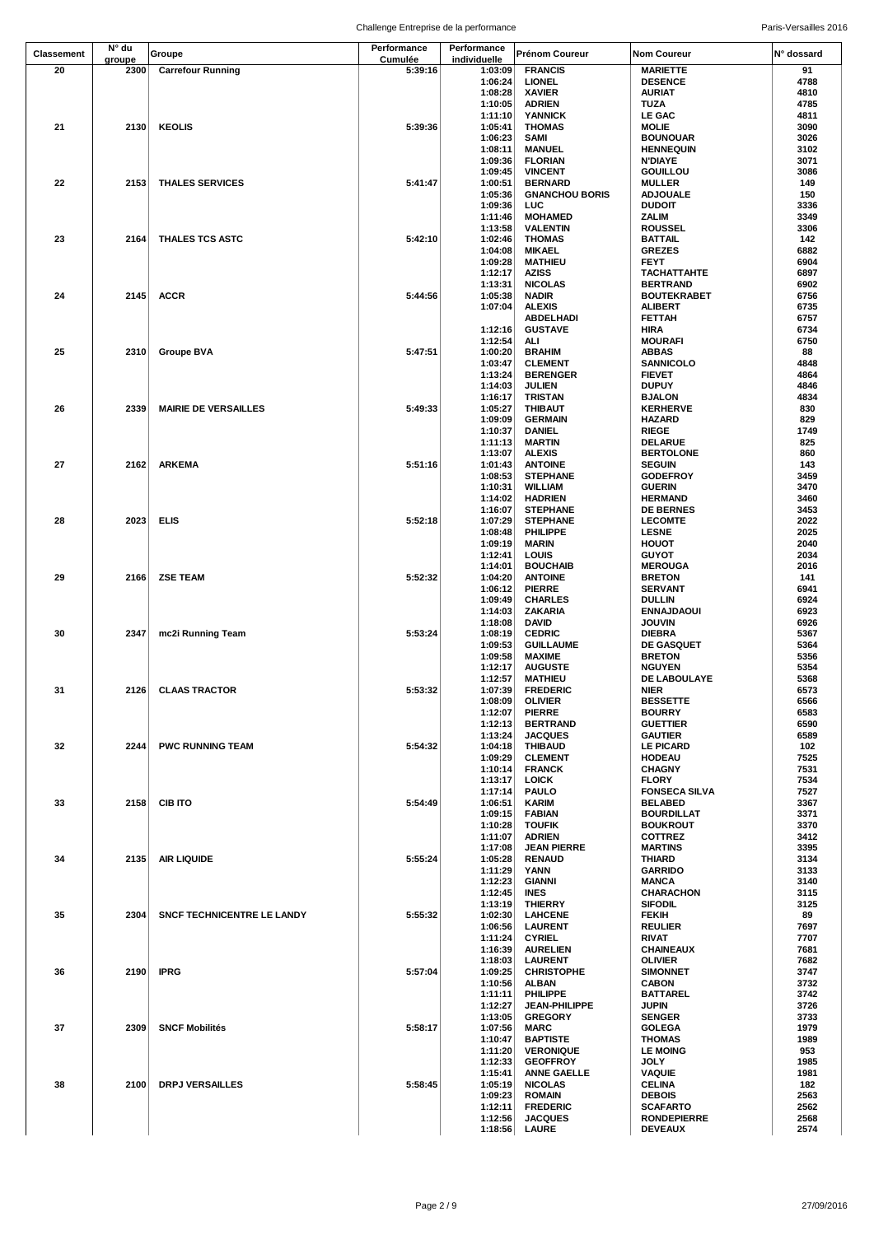| <b>Classement</b> | N° du  | Groupe                      | Performance | Performance  | <b>Prénom Coureur</b> | <b>Nom Coureur</b>   | N° dossard |
|-------------------|--------|-----------------------------|-------------|--------------|-----------------------|----------------------|------------|
|                   | groupe |                             | Cumulée     | individuelle |                       |                      |            |
| 20                | 2300   | <b>Carrefour Running</b>    | 5:39:16     | 1:03:09      | <b>FRANCIS</b>        | <b>MARIETTE</b>      | 91         |
|                   |        |                             |             | 1:06:24      | <b>LIONEL</b>         | <b>DESENCE</b>       | 4788       |
|                   |        |                             |             | 1:08:28      | <b>XAVIER</b>         | <b>AURIAT</b>        | 4810       |
|                   |        |                             |             | 1:10:05      | <b>ADRIEN</b>         | TUZA                 | 4785       |
|                   |        |                             |             | 1:11:10      | <b>YANNICK</b>        | LE GAC               | 4811       |
| 21                | 2130   | <b>KEOLIS</b>               | 5:39:36     | 1:05:41      | <b>THOMAS</b>         | MOLIE                | 3090       |
|                   |        |                             |             | 1:06:23      | <b>SAMI</b>           | <b>BOUNOUAR</b>      | 3026       |
|                   |        |                             |             |              |                       |                      |            |
|                   |        |                             |             | 1:08:11      | <b>MANUEL</b>         | <b>HENNEQUIN</b>     | 3102       |
|                   |        |                             |             | 1:09:36      | <b>FLORIAN</b>        | <b>N'DIAYE</b>       | 3071       |
|                   |        |                             |             | 1:09:45      | <b>VINCENT</b>        | <b>GOUILLOU</b>      | 3086       |
| 22                | 2153   | <b>THALES SERVICES</b>      | 5:41:47     | 1:00:51      | <b>BERNARD</b>        | <b>MULLER</b>        | 149        |
|                   |        |                             |             | 1:05:36      | <b>GNANCHOU BORIS</b> | <b>ADJOUALE</b>      | 150        |
|                   |        |                             |             | 1:09:36      | LUC                   | <b>DUDOIT</b>        | 3336       |
|                   |        |                             |             | 1:11:46      | <b>MOHAMED</b>        | ZALIM                | 3349       |
|                   |        |                             |             | 1:13:58      | <b>VALENTIN</b>       | <b>ROUSSEL</b>       | 3306       |
| 23                | 2164   | <b>THALES TCS ASTC</b>      | 5:42:10     | 1:02:46      | <b>THOMAS</b>         | <b>BATTAIL</b>       | 142        |
|                   |        |                             |             |              |                       |                      |            |
|                   |        |                             |             | 1:04:08      | <b>MIKAEL</b>         | <b>GREZES</b>        | 6882       |
|                   |        |                             |             | 1:09:28      | <b>MATHIEU</b>        | <b>FEYT</b>          | 6904       |
|                   |        |                             |             | 1:12:17      | <b>AZISS</b>          | <b>TACHATTAHTE</b>   | 6897       |
|                   |        |                             |             | 1:13:31      | <b>NICOLAS</b>        | <b>BERTRAND</b>      | 6902       |
| 24                | 2145   | <b>ACCR</b>                 | 5:44:56     | 1:05:38      | <b>NADIR</b>          | <b>BOUTEKRABET</b>   | 6756       |
|                   |        |                             |             | 1:07:04      | <b>ALEXIS</b>         | ALIBERT              | 6735       |
|                   |        |                             |             |              | ABDELHADI             | FETTAH               | 6757       |
|                   |        |                             |             | 1:12:16      | <b>GUSTAVE</b>        | <b>HIRA</b>          | 6734       |
|                   |        |                             |             | 1:12:54      | ALI                   | <b>MOURAFI</b>       | 6750       |
| 25                | 2310   | <b>Groupe BVA</b>           | 5:47:51     | 1:00:20      | <b>BRAHIM</b>         | ABBAS                | 88         |
|                   |        |                             |             | 1:03:47      | <b>CLEMENT</b>        | SANNICOLO            | 4848       |
|                   |        |                             |             |              |                       |                      |            |
|                   |        |                             |             | 1:13:24      | <b>BERENGER</b>       | <b>FIEVET</b>        | 4864       |
|                   |        |                             |             | 1:14:03      | <b>JULIEN</b>         | <b>DUPUY</b>         | 4846       |
|                   |        |                             |             | 1:16:17      | TRISTAN               | <b>BJALON</b>        | 4834       |
| 26                | 2339   | <b>MAIRIE DE VERSAILLES</b> | 5:49:33     | 1:05:27      | <b>THIBAUT</b>        | <b>KERHERVE</b>      | 830        |
|                   |        |                             |             | 1:09:09      | <b>GERMAIN</b>        | <b>HAZARD</b>        | 829        |
|                   |        |                             |             | 1:10:37      | DANIEL                | RIEGE                | 1749       |
|                   |        |                             |             | 1:11:13      | <b>MARTIN</b>         | DELARUE              | 825        |
|                   |        |                             |             | 1:13:07      | <b>ALEXIS</b>         | <b>BERTOLONE</b>     | 860        |
| 27                | 2162   | <b>ARKEMA</b>               | 5:51:16     | 1:01:43      | <b>ANTOINE</b>        | <b>SEGUIN</b>        | 143        |
|                   |        |                             |             | 1:08:53      | <b>STEPHANE</b>       | <b>GODEFROY</b>      | 3459       |
|                   |        |                             |             |              |                       |                      |            |
|                   |        |                             |             | 1:10:31      | <b>WILLIAM</b>        | <b>GUERIN</b>        | 3470       |
|                   |        |                             |             | 1:14:02      | <b>HADRIEN</b>        | <b>HERMAND</b>       | 3460       |
|                   |        |                             |             | 1:16:07      | <b>STEPHANE</b>       | <b>DE BERNES</b>     | 3453       |
| 28                | 2023   | <b>ELIS</b>                 | 5:52:18     | 1:07:29      | <b>STEPHANE</b>       | <b>LECOMTE</b>       | 2022       |
|                   |        |                             |             | 1:08:48      | <b>PHILIPPE</b>       | <b>LESNE</b>         | 2025       |
|                   |        |                             |             | 1:09:19      | <b>MARIN</b>          | HOUOT                | 2040       |
|                   |        |                             |             | 1:12:41      | LOUIS                 | <b>GUYOT</b>         | 2034       |
|                   |        |                             |             | 1:14:01      | <b>BOUCHAIB</b>       | <b>MEROUGA</b>       | 2016       |
| 29                | 2166   | <b>ZSE TEAM</b>             | 5:52:32     | 1:04:20      | <b>ANTOINE</b>        |                      |            |
|                   |        |                             |             |              |                       | <b>BRETON</b>        | 141        |
|                   |        |                             |             | 1:06:12      | <b>PIERRE</b>         | <b>SERVANT</b>       | 6941       |
|                   |        |                             |             | 1:09:49      | <b>CHARLES</b>        | DULLIN               | 6924       |
|                   |        |                             |             | 1:14:03      | ZAKARIA               | <b>ENNAJDAOUI</b>    | 6923       |
|                   |        |                             |             | 1:18:08      | DAVID                 | <b>JOUVIN</b>        | 6926       |
| 30                | 2347   | mc2i Running Team           | 5:53:24     | 1:08:19      | <b>CEDRIC</b>         | DIEBRA               | 5367       |
|                   |        |                             |             | 1:09:53      | <b>GUILLAUME</b>      | <b>DE GASQUET</b>    | 5364       |
|                   |        |                             |             | 1:09:58      | <b>MAXIME</b>         | <b>BRETON</b>        | 5356       |
|                   |        |                             |             | 1:12:17      | <b>AUGUSTE</b>        | <b>NGUYEN</b>        | 5354       |
|                   |        |                             |             |              |                       | DE LABOULAYE         | 5368       |
|                   |        |                             |             | 1:12:57      | <b>MATHIEU</b>        |                      |            |
| 31                | 2126   | <b>CLAAS TRACTOR</b>        | 5:53:32     | 1:07:39      | <b>FREDERIC</b>       | <b>NIER</b>          | 6573       |
|                   |        |                             |             | 1:08:09      | <b>OLIVIER</b>        | <b>BESSETTE</b>      | 6566       |
|                   |        |                             |             | 1:12:07      | <b>PIERRE</b>         | <b>BOURRY</b>        | 6583       |
|                   |        |                             |             | 1:12:13      | <b>BERTRAND</b>       | <b>GUETTIER</b>      | 6590       |
|                   |        |                             |             | 1:13:24      | <b>JACQUES</b>        | <b>GAUTIER</b>       | 6589       |
| 32                | 2244   | <b>PWC RUNNING TEAM</b>     | 5:54:32     | 1:04:18      | <b>THIBAUD</b>        | <b>LE PICARD</b>     | 102        |
|                   |        |                             |             | 1:09:29      | <b>CLEMENT</b>        | <b>HODEAU</b>        | 7525       |
|                   |        |                             |             | 1:10:14      | <b>FRANCK</b>         | <b>CHAGNY</b>        | 7531       |
|                   |        |                             |             | 1:13:17      | <b>LOICK</b>          | <b>FLORY</b>         | 7534       |
|                   |        |                             |             |              |                       |                      |            |
|                   |        |                             |             | 1:17:14      | <b>PAULO</b>          | <b>FONSECA SILVA</b> | 7527       |
| 33                | 2158   | <b>CIB ITO</b>              | 5:54:49     | 1:06:51      | KARIM                 | <b>BELABED</b>       | 3367       |
|                   |        |                             |             | 1:09:15      | <b>FABIAN</b>         | <b>BOURDILLAT</b>    | 3371       |
|                   |        |                             |             | 1:10:28      | <b>TOUFIK</b>         | <b>BOUKROUT</b>      | 3370       |
|                   |        |                             |             | 1:11:07      | <b>ADRIEN</b>         | <b>COTTREZ</b>       | 3412       |
|                   |        |                             |             | 1:17:08      | <b>JEAN PIERRE</b>    | <b>MARTINS</b>       | 3395       |
| 34                | 2135   | <b>AIR LIQUIDE</b>          | 5:55:24     | 1:05:28      | <b>RENAUD</b>         | THIARD               | 3134       |
|                   |        |                             |             | 1:11:29      | YANN                  | <b>GARRIDO</b>       | 3133       |
|                   |        |                             |             | 1:12:23      | <b>GIANNI</b>         | <b>MANCA</b>         | 3140       |
|                   |        |                             |             | 1:12:45      | <b>INES</b>           | <b>CHARACHON</b>     | 3115       |
|                   |        |                             |             | 1:13:19      | <b>THIERRY</b>        | <b>SIFODIL</b>       | 3125       |
| 35                | 2304   | SNCF TECHNICENTRE LE LANDY  | 5:55:32     | 1:02:30      | <b>LAHCENE</b>        | <b>FEKIH</b>         | 89         |
|                   |        |                             |             |              |                       |                      |            |
|                   |        |                             |             | 1:06:56      | <b>LAURENT</b>        | <b>REULIER</b>       | 7697       |
|                   |        |                             |             | 1:11:24      | <b>CYRIEL</b>         | RIVAT                | 7707       |
|                   |        |                             |             | 1:16:39      | <b>AURELIEN</b>       | <b>CHAINEAUX</b>     | 7681       |
|                   |        |                             |             | 1:18:03      | <b>LAURENT</b>        | OLIVIER              | 7682       |
| 36                | 2190   | <b>IPRG</b>                 | 5:57:04     | 1:09:25      | <b>CHRISTOPHE</b>     | <b>SIMONNET</b>      | 3747       |
|                   |        |                             |             | 1:10:56      | <b>ALBAN</b>          | <b>CABON</b>         | 3732       |
|                   |        |                             |             | 1:11:11      | <b>PHILIPPE</b>       | <b>BATTAREL</b>      | 3742       |
|                   |        |                             |             | 1:12:27      | <b>JEAN-PHILIPPE</b>  | JUPIN                | 3726       |
|                   |        |                             |             | 1:13:05      | <b>GREGORY</b>        | <b>SENGER</b>        | 3733       |
|                   |        |                             |             |              |                       |                      |            |
| 37                | 2309   | <b>SNCF Mobilités</b>       | 5:58:17     | 1:07:56      | <b>MARC</b>           | <b>GOLEGA</b>        | 1979       |
|                   |        |                             |             | 1:10:47      | <b>BAPTISTE</b>       | <b>THOMAS</b>        | 1989       |
|                   |        |                             |             | 1:11:20      | <b>VERONIQUE</b>      | <b>LE MOING</b>      | 953        |
|                   |        |                             |             | 1:12:33      | <b>GEOFFROY</b>       | JOLY                 | 1985       |
|                   |        |                             |             | 1:15:41      | <b>ANNE GAELLE</b>    | <b>VAQUIE</b>        | 1981       |
| 38                | 2100   | <b>DRPJ VERSAILLES</b>      | 5:58:45     | 1:05:19      | <b>NICOLAS</b>        | <b>CELINA</b>        | 182        |
|                   |        |                             |             | 1:09:23      | <b>ROMAIN</b>         | <b>DEBOIS</b>        | 2563       |
|                   |        |                             |             | 1:12:11      | <b>FREDERIC</b>       | <b>SCAFARTO</b>      | 2562       |
|                   |        |                             |             | 1:12:56      | <b>JACQUES</b>        | <b>RONDEPIERRE</b>   | 2568       |
|                   |        |                             |             |              |                       |                      |            |
|                   |        |                             |             | 1:18:56      | LAURE                 | <b>DEVEAUX</b>       | 2574       |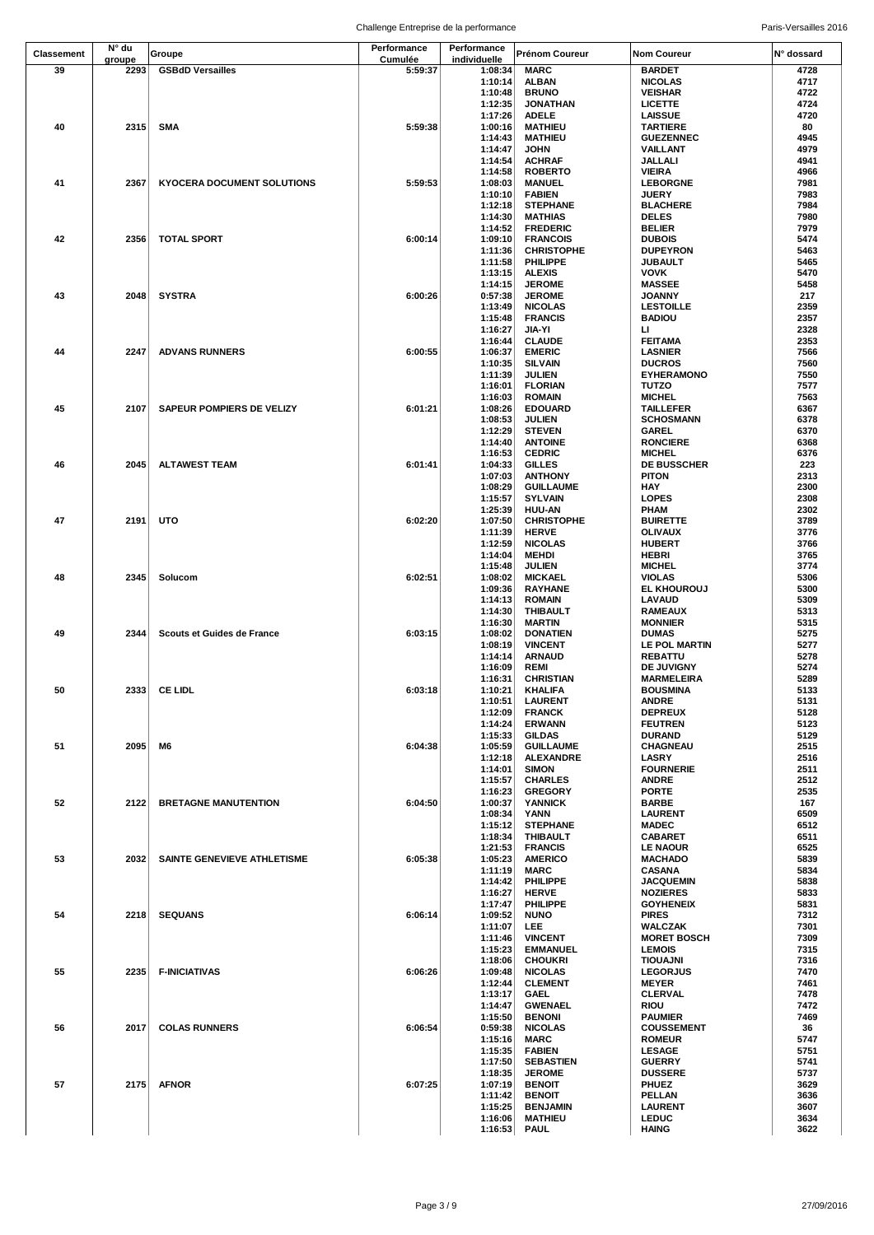| Classement | N° du          | Groupe                             | Performance | Performance        | Prénom Coureur                   | <b>Nom Coureur</b>                   | N° dossard   |
|------------|----------------|------------------------------------|-------------|--------------------|----------------------------------|--------------------------------------|--------------|
|            | groupe<br>2293 |                                    | Cumulée     | individuelle       |                                  |                                      |              |
| 39         |                | <b>GSBdD Versailles</b>            | 5:59:37     | 1:08:34<br>1:10:14 | <b>MARC</b><br><b>ALBAN</b>      | <b>BARDET</b><br><b>NICOLAS</b>      | 4728<br>4717 |
|            |                |                                    |             | 1:10:48            | <b>BRUNO</b>                     | <b>VEISHAR</b>                       | 4722         |
|            |                |                                    |             | 1:12:35            | <b>JONATHAN</b>                  | <b>LICETTE</b>                       | 4724         |
|            |                |                                    |             | 1:17:26            | <b>ADELE</b>                     | <b>LAISSUE</b>                       | 4720         |
| 40         | 2315           | <b>SMA</b>                         | 5:59:38     | 1:00:16            | <b>MATHIEU</b>                   | <b>TARTIERE</b>                      | 80           |
|            |                |                                    |             | 1:14:43            | <b>MATHIEU</b>                   | <b>GUEZENNEC</b>                     | 4945         |
|            |                |                                    |             | 1:14:47            | <b>JOHN</b>                      | VAILLANT                             | 4979         |
|            |                |                                    |             | 1:14:54            | <b>ACHRAF</b>                    | JALLALI                              | 4941         |
|            |                |                                    |             | 1:14:58            | <b>ROBERTO</b>                   | <b>VIEIRA</b>                        | 4966         |
| 41         | 2367           | <b>KYOCERA DOCUMENT SOLUTIONS</b>  | 5:59:53     | 1:08:03            | <b>MANUEL</b>                    | <b>LEBORGNE</b>                      | 7981         |
|            |                |                                    |             | 1:10:10<br>1:12:18 | <b>FABIEN</b><br><b>STEPHANE</b> | <b>JUERY</b><br><b>BLACHERE</b>      | 7983<br>7984 |
|            |                |                                    |             | 1:14:30            | <b>MATHIAS</b>                   | <b>DELES</b>                         | 7980         |
|            |                |                                    |             | 1:14:52            | <b>FREDERIC</b>                  | <b>BELIER</b>                        | 7979         |
| 42         | 2356           | <b>TOTAL SPORT</b>                 | 6:00:14     | 1:09:10            | <b>FRANCOIS</b>                  | <b>DUBOIS</b>                        | 5474         |
|            |                |                                    |             | 1:11:36            | <b>CHRISTOPHE</b>                | <b>DUPEYRON</b>                      | 5463         |
|            |                |                                    |             | 1:11:58            | PHILIPPE                         | <b>JUBAULT</b>                       | 5465         |
|            |                |                                    |             | 1:13:15            | <b>ALEXIS</b>                    | <b>VOVK</b>                          | 5470         |
|            |                |                                    |             | 1:14:15            | <b>JEROME</b>                    | <b>MASSEE</b>                        | 5458         |
| 43         | 2048           | <b>SYSTRA</b>                      | 6:00:26     | 0:57:38            | <b>JEROME</b>                    | <b>JOANNY</b>                        | 217          |
|            |                |                                    |             | 1:13:49<br>1:15:48 | <b>NICOLAS</b><br><b>FRANCIS</b> | <b>LESTOILLE</b><br><b>BADIOU</b>    | 2359<br>2357 |
|            |                |                                    |             | 1:16:27            | JIA-YI                           | ш                                    | 2328         |
|            |                |                                    |             | 1:16:44            | <b>CLAUDE</b>                    | <b>FEITAMA</b>                       | 2353         |
| 44         | 2247           | <b>ADVANS RUNNERS</b>              | 6:00:55     | 1:06:37            | <b>EMERIC</b>                    | <b>LASNIER</b>                       | 7566         |
|            |                |                                    |             | 1:10:35            | <b>SILVAIN</b>                   | <b>DUCROS</b>                        | 7560         |
|            |                |                                    |             | 1:11:39            | <b>JULIEN</b>                    | <b>EYHERAMONO</b>                    | 7550         |
|            |                |                                    |             | 1:16:01            | <b>FLORIAN</b>                   | <b>TUTZO</b>                         | 7577         |
|            |                |                                    |             | 1:16:03            | <b>ROMAIN</b>                    | <b>MICHEL</b>                        | 7563         |
| 45         | 2107           | SAPEUR POMPIERS DE VELIZY          | 6:01:21     | 1:08:26            | <b>EDOUARD</b>                   | <b>TAILLEFER</b>                     | 6367         |
|            |                |                                    |             | 1:08:53            | <b>JULIEN</b>                    | <b>SCHOSMANN</b>                     | 6378         |
|            |                |                                    |             | 1:12:29<br>1:14:40 | <b>STEVEN</b><br><b>ANTOINE</b>  | GAREL<br><b>RONCIERE</b>             | 6370<br>6368 |
|            |                |                                    |             | 1:16:53            | <b>CEDRIC</b>                    | <b>MICHEL</b>                        | 6376         |
| 46         | 2045           | <b>ALTAWEST TEAM</b>               | 6:01:41     | 1:04:33            | <b>GILLES</b>                    | DE BUSSCHER                          | 223          |
|            |                |                                    |             | 1:07:03            | <b>ANTHONY</b>                   | <b>PITON</b>                         | 2313         |
|            |                |                                    |             | 1:08:29            | <b>GUILLAUME</b>                 | HAY                                  | 2300         |
|            |                |                                    |             | 1:15:57            | <b>SYLVAIN</b>                   | <b>LOPES</b>                         | 2308         |
|            |                |                                    |             | 1:25:39            | <b>HUU-AN</b>                    | PHAM                                 | 2302         |
| 47         | 2191           | UTO                                | 6:02:20     | 1:07:50            | <b>CHRISTOPHE</b>                | <b>BUIRETTE</b>                      | 3789         |
|            |                |                                    |             | 1:11:39            | <b>HERVE</b>                     | <b>OLIVAUX</b>                       | 3776         |
|            |                |                                    |             | 1:12:59            | <b>NICOLAS</b>                   | <b>HUBERT</b>                        | 3766         |
|            |                |                                    |             | 1:14:04            | <b>MEHDI</b>                     | HEBRI                                | 3765         |
| 48         | 2345           | Solucom                            | 6:02:51     | 1:15:48<br>1:08:02 | <b>JULIEN</b><br><b>MICKAEL</b>  | <b>MICHEL</b><br><b>VIOLAS</b>       | 3774<br>5306 |
|            |                |                                    |             | 1:09:36            | <b>RAYHANE</b>                   | <b>EL KHOUROUJ</b>                   | 5300         |
|            |                |                                    |             | 1:14:13            | <b>ROMAIN</b>                    | <b>LAVAUD</b>                        | 5309         |
|            |                |                                    |             | 1:14:30            | <b>THIBAULT</b>                  | <b>RAMEAUX</b>                       | 5313         |
|            |                |                                    |             | 1:16:30            | <b>MARTIN</b>                    | <b>MONNIER</b>                       | 5315         |
| 49         | 2344           | Scouts et Guides de France         | 6:03:15     | 1:08:02            | <b>DONATIEN</b>                  | <b>DUMAS</b>                         | 5275         |
|            |                |                                    |             | 1:08:19            | <b>VINCENT</b>                   | LE POL MARTIN                        | 5277         |
|            |                |                                    |             | 1:14:14            | <b>ARNAUD</b>                    | <b>REBATTU</b>                       | 5278         |
|            |                |                                    |             | 1:16:09            | <b>REMI</b>                      | DE JUVIGNY                           | 5274         |
| 50         |                | 2333 CE LIDL                       | 6:03:18     | 1:16:31            | <b>CHRISTIAN</b>                 | <b>MARMELEIRA</b><br><b>BOUSMINA</b> | 5289<br>5133 |
|            |                |                                    |             | 1:10:21<br>1:10:51 | KHALIFA<br><b>LAURENT</b>        | ANDRE                                | 5131         |
|            |                |                                    |             | 1:12:09            | <b>FRANCK</b>                    | <b>DEPREUX</b>                       | 5128         |
|            |                |                                    |             | 1:14:24            | <b>ERWANN</b>                    | <b>FEUTREN</b>                       | 5123         |
|            |                |                                    |             | 1:15:33            | <b>GILDAS</b>                    | <b>DURAND</b>                        | 5129         |
| 51         | 2095           | M6                                 | 6:04:38     | 1:05:59            | <b>GUILLAUME</b>                 | <b>CHAGNEAU</b>                      | 2515         |
|            |                |                                    |             | 1:12:18            | <b>ALEXANDRE</b>                 | <b>LASRY</b>                         | 2516         |
|            |                |                                    |             | 1:14:01            | <b>SIMON</b>                     | <b>FOURNERIE</b>                     | 2511         |
|            |                |                                    |             | 1:15:57            | <b>CHARLES</b>                   | <b>ANDRE</b>                         | 2512         |
| 52         | 2122           | <b>BRETAGNE MANUTENTION</b>        | 6:04:50     | 1:16:23<br>1:00:37 | <b>GREGORY</b><br><b>YANNICK</b> | <b>PORTE</b><br><b>BARBE</b>         | 2535<br>167  |
|            |                |                                    |             | 1:08:34            | <b>YANN</b>                      | <b>LAURENT</b>                       | 6509         |
|            |                |                                    |             | 1:15:12            | <b>STEPHANE</b>                  | <b>MADEC</b>                         | 6512         |
|            |                |                                    |             | 1:18:34            | <b>THIBAULT</b>                  | <b>CABARET</b>                       | 6511         |
|            |                |                                    |             | 1:21:53            | <b>FRANCIS</b>                   | <b>LE NAOUR</b>                      | 6525         |
| 53         | 2032           | <b>SAINTE GENEVIEVE ATHLETISME</b> | 6:05:38     | 1:05:23            | <b>AMERICO</b>                   | <b>MACHADO</b>                       | 5839         |
|            |                |                                    |             | 1:11:19            | MARC                             | <b>CASANA</b>                        | 5834         |
|            |                |                                    |             | 1:14:42            | PHILIPPE                         | <b>JACQUEMIN</b>                     | 5838         |
|            |                |                                    |             | 1:16:27            | <b>HERVE</b>                     | <b>NOZIERES</b>                      | 5833         |
| 54         | 2218           |                                    |             | 1:17:47<br>1:09:52 | PHILIPPE<br><b>NUNO</b>          | <b>GOYHENEIX</b><br><b>PIRES</b>     | 5831<br>7312 |
|            |                | SEQUANS                            | 6:06:14     | 1:11:07            | LEE.                             | <b>WALCZAK</b>                       | 7301         |
|            |                |                                    |             | 1:11:46            | <b>VINCENT</b>                   | <b>MORET BOSCH</b>                   | 7309         |
|            |                |                                    |             | 1:15:23            | <b>EMMANUEL</b>                  | <b>LEMOIS</b>                        | 7315         |
|            |                |                                    |             | 1:18:06            | <b>CHOUKRI</b>                   | TIOUAJNI                             | 7316         |
| 55         | 2235           | <b>F-INICIATIVAS</b>               | 6:06:26     | 1:09:48            | <b>NICOLAS</b>                   | <b>LEGORJUS</b>                      | 7470         |
|            |                |                                    |             | 1:12:44            | <b>CLEMENT</b>                   | <b>MEYER</b>                         | 7461         |
|            |                |                                    |             | 1:13:17            | <b>GAEL</b>                      | CLERVAL                              | 7478         |
|            |                |                                    |             | 1:14:47            | <b>GWENAEL</b>                   | <b>RIOU</b>                          | 7472         |
|            |                |                                    |             | 1:15:50            | <b>BENONI</b>                    | <b>PAUMIER</b>                       | 7469         |
| 56         | 2017           | <b>COLAS RUNNERS</b>               | 6:06:54     | 0:59:38<br>1:15:16 | <b>NICOLAS</b><br><b>MARC</b>    | <b>COUSSEMENT</b><br><b>ROMEUR</b>   | 36<br>5747   |
|            |                |                                    |             | 1:15:35            | <b>FABIEN</b>                    | <b>LESAGE</b>                        | 5751         |
|            |                |                                    |             | 1:17:50            | <b>SEBASTIEN</b>                 | <b>GUERRY</b>                        | 5741         |
|            |                |                                    |             | 1:18:35            | <b>JEROME</b>                    | <b>DUSSERE</b>                       | 5737         |
| 57         | 2175           | <b>AFNOR</b>                       | 6:07:25     | 1:07:19            | <b>BENOIT</b>                    | <b>PHUEZ</b>                         | 3629         |
|            |                |                                    |             | 1:11:42            | <b>BENOIT</b>                    | PELLAN                               | 3636         |
|            |                |                                    |             | 1:15:25            | <b>BENJAMIN</b>                  | <b>LAURENT</b>                       | 3607         |
|            |                |                                    |             | 1:16:06            | <b>MATHIEU</b>                   | <b>LEDUC</b>                         | 3634         |
|            |                |                                    |             | 1:16:53            | <b>PAUL</b>                      | <b>HAING</b>                         | 3622         |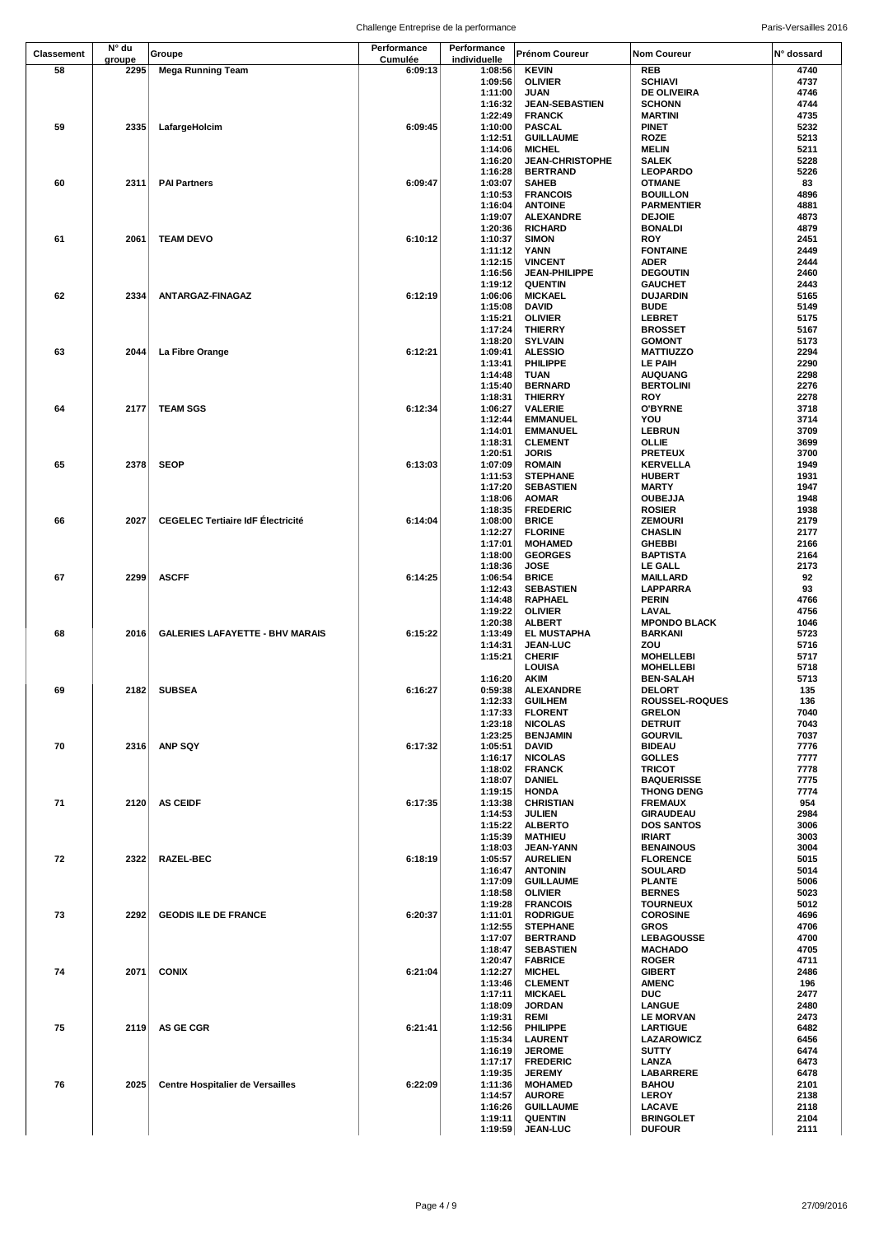|            | N° du  |                                          | Performance | Performance        |                                        |                                       |              |
|------------|--------|------------------------------------------|-------------|--------------------|----------------------------------------|---------------------------------------|--------------|
| Classement | groupe | Groupe                                   | Cumulée     | individuelle       | <b>Prénom Coureur</b>                  | <b>Nom Coureur</b>                    | N° dossard   |
| 58         | 2295   | <b>Mega Running Team</b>                 | 6:09:13     | 1:08:56            | <b>KEVIN</b>                           | REB                                   | 4740         |
|            |        |                                          |             | 1:09:56<br>1:11:00 | <b>OLIVIER</b><br><b>JUAN</b>          | <b>SCHIAVI</b><br><b>DE OLIVEIRA</b>  | 4737<br>4746 |
|            |        |                                          |             | 1:16:32            | <b>JEAN-SEBASTIEN</b>                  | <b>SCHONN</b>                         | 4744         |
|            |        |                                          |             | 1:22:49            | <b>FRANCK</b>                          | <b>MARTINI</b>                        | 4735         |
| 59         | 2335   | LafargeHolcim                            | 6:09:45     | 1:10:00            | <b>PASCAL</b>                          | PINET                                 | 5232         |
|            |        |                                          |             | 1:12:51            | <b>GUILLAUME</b><br><b>MICHEL</b>      | ROZE                                  | 5213<br>5211 |
|            |        |                                          |             | 1:14:06<br>1:16:20 | <b>JEAN-CHRISTOPHE</b>                 | MELIN<br>SALEK                        | 5228         |
|            |        |                                          |             | 1:16:28            | <b>BERTRAND</b>                        | <b>LEOPARDO</b>                       | 5226         |
| 60         | 2311   | <b>PAI Partners</b>                      | 6:09:47     | 1:03:07            | <b>SAHEB</b>                           | OTMANE                                | 83           |
|            |        |                                          |             | 1:10:53            | <b>FRANCOIS</b>                        | <b>BOUILLON</b>                       | 4896         |
|            |        |                                          |             | 1:16:04<br>1:19:07 | <b>ANTOINE</b><br>ALEXANDRE            | <b>PARMENTIER</b><br><b>DEJOIE</b>    | 4881<br>4873 |
|            |        |                                          |             | 1:20:36            | <b>RICHARD</b>                         | <b>BONALDI</b>                        | 4879         |
| 61         | 2061   | <b>TEAM DEVO</b>                         | 6:10:12     | 1:10:37            | <b>SIMON</b>                           | ROY                                   | 2451         |
|            |        |                                          |             | 1:11:12            | YANN                                   | <b>FONTAINE</b>                       | 2449         |
|            |        |                                          |             | 1:12:15<br>1:16:56 | <b>VINCENT</b><br><b>JEAN-PHILIPPE</b> | ADER<br><b>DEGOUTIN</b>               | 2444<br>2460 |
|            |        |                                          |             | 1:19:12            | <b>QUENTIN</b>                         | <b>GAUCHET</b>                        | 2443         |
| 62         | 2334   | ANTARGAZ-FINAGAZ                         | 6:12:19     | 1:06:06            | <b>MICKAEL</b>                         | <b>DUJARDIN</b>                       | 5165         |
|            |        |                                          |             | 1:15:08            | <b>DAVID</b>                           | <b>BUDE</b>                           | 5149         |
|            |        |                                          |             | 1:15:21<br>1:17:24 | <b>OLIVIER</b><br><b>THIERRY</b>       | LEBRET<br><b>BROSSET</b>              | 5175<br>5167 |
|            |        |                                          |             | 1:18:20            | <b>SYLVAIN</b>                         | <b>GOMONT</b>                         | 5173         |
| 63         | 2044   | La Fibre Orange                          | 6:12:21     | 1:09:41            | <b>ALESSIO</b>                         | <b>MATTIUZZO</b>                      | 2294         |
|            |        |                                          |             | 1:13:41            | PHILIPPE                               | <b>LE PAIH</b>                        | 2290         |
|            |        |                                          |             | 1:14:48            | TUAN                                   | <b>AUQUANG</b>                        | 2298         |
|            |        |                                          |             | 1:15:40<br>1:18:31 | <b>BERNARD</b><br><b>THIERRY</b>       | <b>BERTOLINI</b><br><b>ROY</b>        | 2276<br>2278 |
| 64         | 2177   | <b>TEAM SGS</b>                          | 6:12:34     | 1:06:27            | <b>VALERIE</b>                         | <b>O'BYRNE</b>                        | 3718         |
|            |        |                                          |             | 1:12:44            | <b>EMMANUEL</b>                        | YOU                                   | 3714         |
|            |        |                                          |             | 1:14:01            | <b>EMMANUEL</b>                        | <b>LEBRUN</b>                         | 3709         |
|            |        |                                          |             | 1:18:31<br>1:20:51 | <b>CLEMENT</b><br><b>JORIS</b>         | OLLIE<br><b>PRETEUX</b>               | 3699<br>3700 |
| 65         | 2378   | <b>SEOP</b>                              | 6:13:03     | 1:07:09            | <b>ROMAIN</b>                          | <b>KERVELLA</b>                       | 1949         |
|            |        |                                          |             | 1:11:53            | <b>STEPHANE</b>                        | <b>HUBERT</b>                         | 1931         |
|            |        |                                          |             | 1:17:20            | <b>SEBASTIEN</b>                       | <b>MARTY</b>                          | 1947         |
|            |        |                                          |             | 1:18:06<br>1:18:35 | <b>AOMAR</b><br><b>FREDERIC</b>        | <b>OUBEJJA</b><br><b>ROSIER</b>       | 1948<br>1938 |
| 66         | 2027   | <b>CEGELEC Tertiaire IdF Électricité</b> | 6:14:04     | 1:08:00            | <b>BRICE</b>                           | <b>ZEMOURI</b>                        | 2179         |
|            |        |                                          |             | 1:12:27            | <b>FLORINE</b>                         | <b>CHASLIN</b>                        | 2177         |
|            |        |                                          |             | 1:17:01            | <b>MOHAMED</b>                         | <b>GHEBBI</b>                         | 2166         |
|            |        |                                          |             | 1:18:00            | <b>GEORGES</b>                         | <b>BAPTISTA</b>                       | 2164<br>2173 |
| 67         | 2299   | <b>ASCFF</b>                             | 6:14:25     | 1:18:36<br>1:06:54 | <b>JOSE</b><br><b>BRICE</b>            | <b>LE GALL</b><br>MAILLARD            | 92           |
|            |        |                                          |             | 1:12:43            | <b>SEBASTIEN</b>                       | LAPPARRA                              | 93           |
|            |        |                                          |             | 1:14:48            | RAPHAEL                                | PERIN                                 | 4766         |
|            |        |                                          |             | 1:19:22            | <b>OLIVIER</b>                         | LAVAL                                 | 4756         |
| 68         | 2016   | <b>GALERIES LAFAYETTE - BHV MARAIS</b>   | 6:15:22     | 1:20:38<br>1:13:49 | <b>ALBERT</b><br><b>EL MUSTAPHA</b>    | <b>MPONDO BLACK</b><br><b>BARKANI</b> | 1046<br>5723 |
|            |        |                                          |             | 1:14:31            | <b>JEAN-LUC</b>                        | ZOU                                   | 5716         |
|            |        |                                          |             | 1:15:21            | <b>CHERIF</b>                          | <b>MOHELLEBI</b>                      | 5717         |
|            |        |                                          |             |                    | <b>LOUISA</b>                          | <b>MOHELLEBI</b>                      | 5718         |
| 69         |        | 2182 SUBSEA                              | 6:16:27     | 1:16:20<br>0:59:38 | <b>AKIM</b><br><b>ALEXANDRE</b>        | <b>BEN-SALAH</b><br><b>DELORT</b>     | 5713<br>135  |
|            |        |                                          |             | 1:12:33            | <b>GUILHEM</b>                         | ROUSSEL-ROQUES                        | 136          |
|            |        |                                          |             | 1:17:33            | <b>FLORENT</b>                         | <b>GRELON</b>                         | 7040         |
|            |        |                                          |             | 1:23:18            | <b>NICOLAS</b>                         | <b>DETRUIT</b>                        | 7043         |
| 70         | 2316   | <b>ANP SQY</b>                           | 6:17:32     | 1:23:25<br>1:05:51 | <b>BENJAMIN</b><br><b>DAVID</b>        | <b>GOURVIL</b><br><b>BIDEAU</b>       | 7037<br>7776 |
|            |        |                                          |             | 1:16:17            | <b>NICOLAS</b>                         | <b>GOLLES</b>                         | 7777         |
|            |        |                                          |             | 1:18:02            | <b>FRANCK</b>                          | <b>TRICOT</b>                         | 7778         |
|            |        |                                          |             | 1:18:07            | <b>DANIEL</b>                          | <b>BAQUERISSE</b>                     | 7775         |
| 71         | 2120   | <b>AS CEIDF</b>                          | 6:17:35     | 1:19:15<br>1:13:38 | <b>HONDA</b><br><b>CHRISTIAN</b>       | <b>THONG DENG</b><br><b>FREMAUX</b>   | 7774<br>954  |
|            |        |                                          |             | 1:14:53            | <b>JULIEN</b>                          | <b>GIRAUDEAU</b>                      | 2984         |
|            |        |                                          |             | 1:15:22            | <b>ALBERTO</b>                         | <b>DOS SANTOS</b>                     | 3006         |
|            |        |                                          |             | 1:15:39            | <b>MATHIEU</b>                         | IRIART                                | 3003         |
| 72         | 2322   | <b>RAZEL-BEC</b>                         | 6:18:19     | 1:18:03<br>1:05:57 | <b>JEAN-YANN</b><br><b>AURELIEN</b>    | <b>BENAINOUS</b><br><b>FLORENCE</b>   | 3004<br>5015 |
|            |        |                                          |             | 1:16:47            | <b>ANTONIN</b>                         | SOULARD                               | 5014         |
|            |        |                                          |             | 1:17:09            | <b>GUILLAUME</b>                       | <b>PLANTE</b>                         | 5006         |
|            |        |                                          |             | 1:18:58            | <b>OLIVIER</b>                         | <b>BERNES</b>                         | 5023         |
| 73         | 2292   | <b>GEODIS ILE DE FRANCE</b>              | 6:20:37     | 1:19:28<br>1:11:01 | <b>FRANCOIS</b><br><b>RODRIGUE</b>     | <b>TOURNEUX</b><br><b>COROSINE</b>    | 5012<br>4696 |
|            |        |                                          |             | 1:12:55            | <b>STEPHANE</b>                        | GROS                                  | 4706         |
|            |        |                                          |             | 1:17:07            | <b>BERTRAND</b>                        | LEBAGOUSSE                            | 4700         |
|            |        |                                          |             | 1:18:47            | <b>SEBASTIEN</b>                       | <b>MACHADO</b>                        | 4705         |
| 74         | 2071   | <b>CONIX</b>                             | 6:21:04     | 1:20:47            | <b>FABRICE</b>                         | <b>ROGER</b>                          | 4711<br>2486 |
|            |        |                                          |             | 1:12:27<br>1:13:46 | <b>MICHEL</b><br><b>CLEMENT</b>        | <b>GIBERT</b><br><b>AMENC</b>         | 196          |
|            |        |                                          |             | 1:17:11            | <b>MICKAEL</b>                         | DUC                                   | 2477         |
|            |        |                                          |             | 1:18:09            | <b>JORDAN</b>                          | LANGUE                                | 2480         |
| 75         | 2119   | <b>AS GE CGR</b>                         | 6:21:41     | 1:19:31<br>1:12:56 | REMI<br>PHILIPPE                       | <b>LE MORVAN</b><br><b>LARTIGUE</b>   | 2473<br>6482 |
|            |        |                                          |             | 1:15:34            | <b>LAURENT</b>                         | LAZAROWICZ                            | 6456         |
|            |        |                                          |             | 1:16:19            | <b>JEROME</b>                          | SUTTY                                 | 6474         |
|            |        |                                          |             | 1:17:17            | <b>FREDERIC</b>                        | LANZA                                 | 6473         |
| 76         | 2025   | <b>Centre Hospitalier de Versailles</b>  | 6:22:09     | 1:19:35<br>1:11:36 | <b>JEREMY</b>                          | LABARRERE<br><b>BAHOU</b>             | 6478<br>2101 |
|            |        |                                          |             | 1:14:57            | <b>MOHAMED</b><br><b>AURORE</b>        | LEROY                                 | 2138         |
|            |        |                                          |             | 1:16:26            | <b>GUILLAUME</b>                       | LACAVE                                | 2118         |
|            |        |                                          |             | 1:19:11            | <b>QUENTIN</b>                         | <b>BRINGOLET</b>                      | 2104         |
|            |        |                                          |             | 1:19:59            | <b>JEAN-LUC</b>                        | <b>DUFOUR</b>                         | 2111         |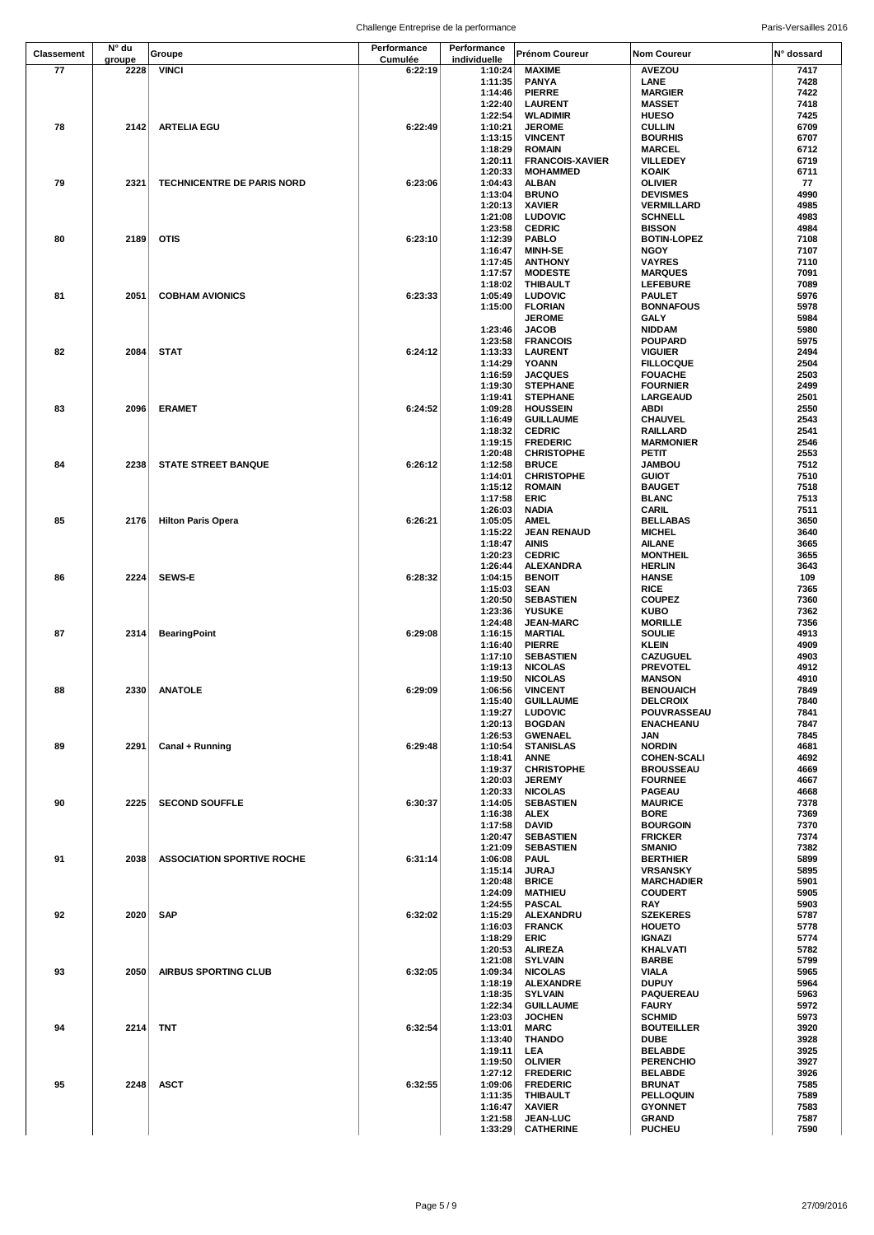| <b>Classement</b> | N° du  | Groupe                            | Performance | Performance        | Prénom Coureur                     | <b>Nom Coureur</b>                 | N° dossard   |
|-------------------|--------|-----------------------------------|-------------|--------------------|------------------------------------|------------------------------------|--------------|
|                   | groupe |                                   | Cumulée     | individuelle       |                                    |                                    |              |
| 77                | 2228   | <b>VINCI</b>                      | 6:22:19     | 1:10:24            | <b>MAXIME</b>                      | AVEZOU                             | 7417         |
|                   |        |                                   |             | 1:11:35<br>1:14:46 | <b>PANYA</b><br><b>PIERRE</b>      | LANE<br><b>MARGIER</b>             | 7428<br>7422 |
|                   |        |                                   |             | 1:22:40            | <b>LAURENT</b>                     | <b>MASSET</b>                      | 7418         |
|                   |        |                                   |             | 1:22:54            | <b>WLADIMIR</b>                    | <b>HUESO</b>                       | 7425         |
| 78                | 2142   | <b>ARTELIA EGU</b>                | 6:22:49     | 1:10:21            | <b>JEROME</b>                      | <b>CULLIN</b>                      | 6709         |
|                   |        |                                   |             | 1:13:15            | <b>VINCENT</b>                     | <b>BOURHIS</b>                     | 6707         |
|                   |        |                                   |             | 1:18:29            | <b>ROMAIN</b>                      | <b>MARCEL</b>                      | 6712         |
|                   |        |                                   |             | 1:20:11            | <b>FRANCOIS-XAVIER</b>             | VILLEDEY                           | 6719         |
|                   |        |                                   |             | 1:20:33            | <b>MOHAMMED</b>                    | KOAIK                              | 6711         |
| 79                | 2321   | TECHNICENTRE DE PARIS NORD        | 6:23:06     | 1:04:43            | <b>ALBAN</b>                       | OLIVIER                            | 77           |
|                   |        |                                   |             | 1:13:04            | <b>BRUNO</b>                       | <b>DEVISMES</b>                    | 4990         |
|                   |        |                                   |             | 1:20:13            | <b>XAVIER</b>                      | VERMILLARD                         | 4985         |
|                   |        |                                   |             | 1:21:08            | <b>LUDOVIC</b>                     | <b>SCHNELL</b>                     | 4983         |
|                   |        |                                   |             | 1:23:58            | <b>CEDRIC</b>                      | <b>BISSON</b>                      | 4984         |
| 80                | 2189   | <b>OTIS</b>                       | 6:23:10     | 1:12:39            | <b>PABLO</b>                       | <b>BOTIN-LOPEZ</b>                 | 7108         |
|                   |        |                                   |             | 1:16:47            | <b>MINH-SE</b>                     | <b>NGOY</b>                        | 7107         |
|                   |        |                                   |             | 1:17:45            | <b>ANTHONY</b>                     | <b>VAYRES</b>                      | 7110         |
|                   |        |                                   |             | 1:17:57            | <b>MODESTE</b>                     | <b>MARQUES</b>                     | 7091         |
|                   |        |                                   |             | 1:18:02            | <b>THIBAULT</b>                    | <b>LEFEBURE</b>                    | 7089         |
| 81                | 2051   | <b>COBHAM AVIONICS</b>            | 6:23:33     | 1:05:49            | <b>LUDOVIC</b>                     | PAULET                             | 5976         |
|                   |        |                                   |             | 1:15:00            | <b>FLORIAN</b>                     | <b>BONNAFOUS</b>                   | 5978         |
|                   |        |                                   |             | 1:23:46            | <b>JEROME</b><br><b>JACOB</b>      | <b>GALY</b><br><b>NIDDAM</b>       | 5984<br>5980 |
|                   |        |                                   |             | 1:23:58            | <b>FRANCOIS</b>                    | <b>POUPARD</b>                     | 5975         |
| 82                | 2084   | <b>STAT</b>                       | 6:24:12     | 1:13:33            | <b>LAURENT</b>                     | <b>VIGUIER</b>                     | 2494         |
|                   |        |                                   |             | 1:14:29            | YOANN                              | <b>FILLOCQUE</b>                   | 2504         |
|                   |        |                                   |             | 1:16:59            | <b>JACQUES</b>                     | <b>FOUACHE</b>                     | 2503         |
|                   |        |                                   |             | 1:19:30            | <b>STEPHANE</b>                    | <b>FOURNIER</b>                    | 2499         |
|                   |        |                                   |             | 1:19:41            | <b>STEPHANE</b>                    | <b>LARGEAUD</b>                    | 2501         |
| 83                | 2096   | <b>ERAMET</b>                     | 6:24:52     | 1:09:28            | <b>HOUSSEIN</b>                    | ABDI                               | 2550         |
|                   |        |                                   |             | 1:16:49            | <b>GUILLAUME</b>                   | <b>CHAUVEL</b>                     | 2543         |
|                   |        |                                   |             | 1:18:32            | <b>CEDRIC</b>                      | RAILLARD                           | 2541         |
|                   |        |                                   |             | 1:19:15            | <b>FREDERIC</b>                    | <b>MARMONIER</b>                   | 2546         |
|                   |        |                                   |             | 1:20:48            | <b>CHRISTOPHE</b>                  | PETIT                              | 2553         |
| 84                | 2238   | <b>STATE STREET BANQUE</b>        | 6:26:12     | 1:12:58            | <b>BRUCE</b>                       | <b>JAMBOU</b>                      | 7512         |
|                   |        |                                   |             | 1:14:01            | <b>CHRISTOPHE</b>                  | <b>GUIOT</b>                       | 7510         |
|                   |        |                                   |             | 1:15:12            | <b>ROMAIN</b>                      | <b>BAUGET</b>                      | 7518         |
|                   |        |                                   |             | 1:17:58            | ERIC                               | <b>BLANC</b>                       | 7513         |
|                   |        |                                   |             | 1:26:03            | <b>NADIA</b>                       | CARIL                              | 7511         |
| 85                | 2176   | <b>Hilton Paris Opera</b>         | 6:26:21     | 1:05:05            | <b>AMEL</b>                        | <b>BELLABAS</b>                    | 3650         |
|                   |        |                                   |             | 1:15:22            | <b>JEAN RENAUD</b>                 | <b>MICHEL</b>                      | 3640         |
|                   |        |                                   |             | 1:18:47            | AINIS                              | AILANE                             | 3665         |
|                   |        |                                   |             | 1:20:23            | <b>CEDRIC</b>                      | <b>MONTHEIL</b>                    | 3655         |
|                   | 2224   |                                   | 6:28:32     | 1:26:44            | <b>ALEXANDRA</b>                   | <b>HERLIN</b>                      | 3643         |
| 86                |        | <b>SEWS-E</b>                     |             | 1:04:15            | <b>BENOIT</b>                      | <b>HANSE</b><br>RICE               | 109<br>7365  |
|                   |        |                                   |             | 1:15:03<br>1:20:50 | <b>SEAN</b><br><b>SEBASTIEN</b>    | <b>COUPEZ</b>                      | 7360         |
|                   |        |                                   |             | 1:23:36            | <b>YUSUKE</b>                      | <b>KUBO</b>                        | 7362         |
|                   |        |                                   |             | 1:24:48            | <b>JEAN-MARC</b>                   | <b>MORILLE</b>                     | 7356         |
| 87                | 2314   | <b>BearingPoint</b>               | 6:29:08     | 1:16:15            | <b>MARTIAL</b>                     | <b>SOULIE</b>                      | 4913         |
|                   |        |                                   |             | 1:16:40            | <b>PIERRE</b>                      | KLEIN                              | 4909         |
|                   |        |                                   |             | 1:17:10            | <b>SEBASTIEN</b>                   | CAZUGUEL                           | 4903         |
|                   |        |                                   |             | 1:19:13            | <b>NICOLAS</b>                     | <b>PREVOTEL</b>                    | 4912         |
|                   |        |                                   |             | 1:19:50            | <b>NICOLAS</b>                     | <b>MANSON</b>                      | 4910         |
| 88                |        | 2330 ANATOLE                      | 6:29:09     |                    | 1:06:56 VINCENT                    | <b>BENOUAICH</b>                   | 7849         |
|                   |        |                                   |             | 1:15:40            | <b>GUILLAUME</b>                   | <b>DELCROIX</b>                    | 7840         |
|                   |        |                                   |             | 1:19:27            | <b>LUDOVIC</b>                     | POUVRASSEAU                        | 7841         |
|                   |        |                                   |             | 1:20:13            | <b>BOGDAN</b>                      | <b>ENACHEANU</b>                   | 7847         |
|                   |        |                                   |             | 1:26:53            | <b>GWENAEL</b>                     | JAN                                | 7845         |
| 89                | 2291   | Canal + Running                   | 6:29:48     | 1:10:54            | <b>STANISLAS</b>                   | <b>NORDIN</b>                      | 4681         |
|                   |        |                                   |             | 1:18:41            | <b>ANNE</b>                        | <b>COHEN-SCALI</b>                 | 4692         |
|                   |        |                                   |             | 1:19:37            | <b>CHRISTOPHE</b>                  | <b>BROUSSEAU</b>                   | 4669         |
|                   |        |                                   |             | 1:20:03            | <b>JEREMY</b>                      | <b>FOURNEE</b>                     | 4667         |
| 90                | 2225   | <b>SECOND SOUFFLE</b>             | 6:30:37     | 1:20:33<br>1:14:05 | <b>NICOLAS</b><br><b>SEBASTIEN</b> | <b>PAGEAU</b><br><b>MAURICE</b>    | 4668<br>7378 |
|                   |        |                                   |             | 1:16:38            | <b>ALEX</b>                        | <b>BORE</b>                        | 7369         |
|                   |        |                                   |             | 1:17:58            | <b>DAVID</b>                       | <b>BOURGOIN</b>                    | 7370         |
|                   |        |                                   |             | 1:20:47            | <b>SEBASTIEN</b>                   | <b>FRICKER</b>                     | 7374         |
|                   |        |                                   |             | 1:21:09            | <b>SEBASTIEN</b>                   | <b>SMANIO</b>                      | 7382         |
| 91                | 2038   | <b>ASSOCIATION SPORTIVE ROCHE</b> | 6:31:14     | 1:06:08            | <b>PAUL</b>                        | <b>BERTHIER</b>                    | 5899         |
|                   |        |                                   |             | 1:15:14            | <b>JURAJ</b>                       | <b>VRSANSKY</b>                    | 5895         |
|                   |        |                                   |             | 1:20:48            | <b>BRICE</b>                       | <b>MARCHADIER</b>                  | 5901         |
|                   |        |                                   |             | 1:24:09            | <b>MATHIEU</b>                     | <b>COUDERT</b>                     | 5905         |
|                   |        |                                   |             | 1:24:55            | <b>PASCAL</b>                      | RAY                                | 5903         |
| 92                | 2020   | <b>SAP</b>                        | 6:32:02     | 1:15:29            | ALEXANDRU                          | <b>SZEKERES</b>                    | 5787         |
|                   |        |                                   |             | 1:16:03            | <b>FRANCK</b>                      | <b>HOUETO</b>                      | 5778         |
|                   |        |                                   |             | 1:18:29            | ERIC                               | IGNAZI                             | 5774         |
|                   |        |                                   |             | 1:20:53            | <b>ALIREZA</b>                     | <b>KHALVATI</b>                    | 5782         |
|                   |        |                                   |             | 1:21:08            | <b>SYLVAIN</b>                     | <b>BARBE</b>                       | 5799         |
| 93                | 2050   | <b>AIRBUS SPORTING CLUB</b>       | 6:32:05     | 1:09:34            | <b>NICOLAS</b>                     | <b>VIALA</b>                       | 5965         |
|                   |        |                                   |             | 1:18:19            | <b>ALEXANDRE</b>                   | <b>DUPUY</b>                       | 5964         |
|                   |        |                                   |             | 1:18:35            | <b>SYLVAIN</b>                     | PAQUEREAU                          | 5963         |
|                   |        |                                   |             | 1:22:34            | <b>GUILLAUME</b>                   | <b>FAURY</b>                       | 5972         |
|                   |        |                                   |             | 1:23:03            | <b>JOCHEN</b>                      | <b>SCHMID</b>                      | 5973         |
| 94                | 2214   | TNT                               | 6:32:54     | 1:13:01            | MARC                               | <b>BOUTEILLER</b>                  | 3920         |
|                   |        |                                   |             | 1:13:40            | <b>THANDO</b>                      | <b>DUBE</b>                        | 3928         |
|                   |        |                                   |             | 1:19:11<br>1:19:50 | LEA<br><b>OLIVIER</b>              | <b>BELABDE</b><br><b>PERENCHIO</b> | 3925<br>3927 |
|                   |        |                                   |             | 1:27:12            | <b>FREDERIC</b>                    | <b>BELABDE</b>                     | 3926         |
| 95                | 2248   | <b>ASCT</b>                       | 6:32:55     | 1:09:06            | <b>FREDERIC</b>                    | <b>BRUNAT</b>                      | 7585         |
|                   |        |                                   |             | 1:11:35            | <b>THIBAULT</b>                    | <b>PELLOQUIN</b>                   | 7589         |
|                   |        |                                   |             | 1:16:47            | <b>XAVIER</b>                      | <b>GYONNET</b>                     | 7583         |
|                   |        |                                   |             | 1:21:58            | <b>JEAN-LUC</b>                    | GRAND                              | 7587         |
|                   |        |                                   |             | 1:33:29            | <b>CATHERINE</b>                   | <b>PUCHEU</b>                      | 7590         |
|                   |        |                                   |             |                    |                                    |                                    |              |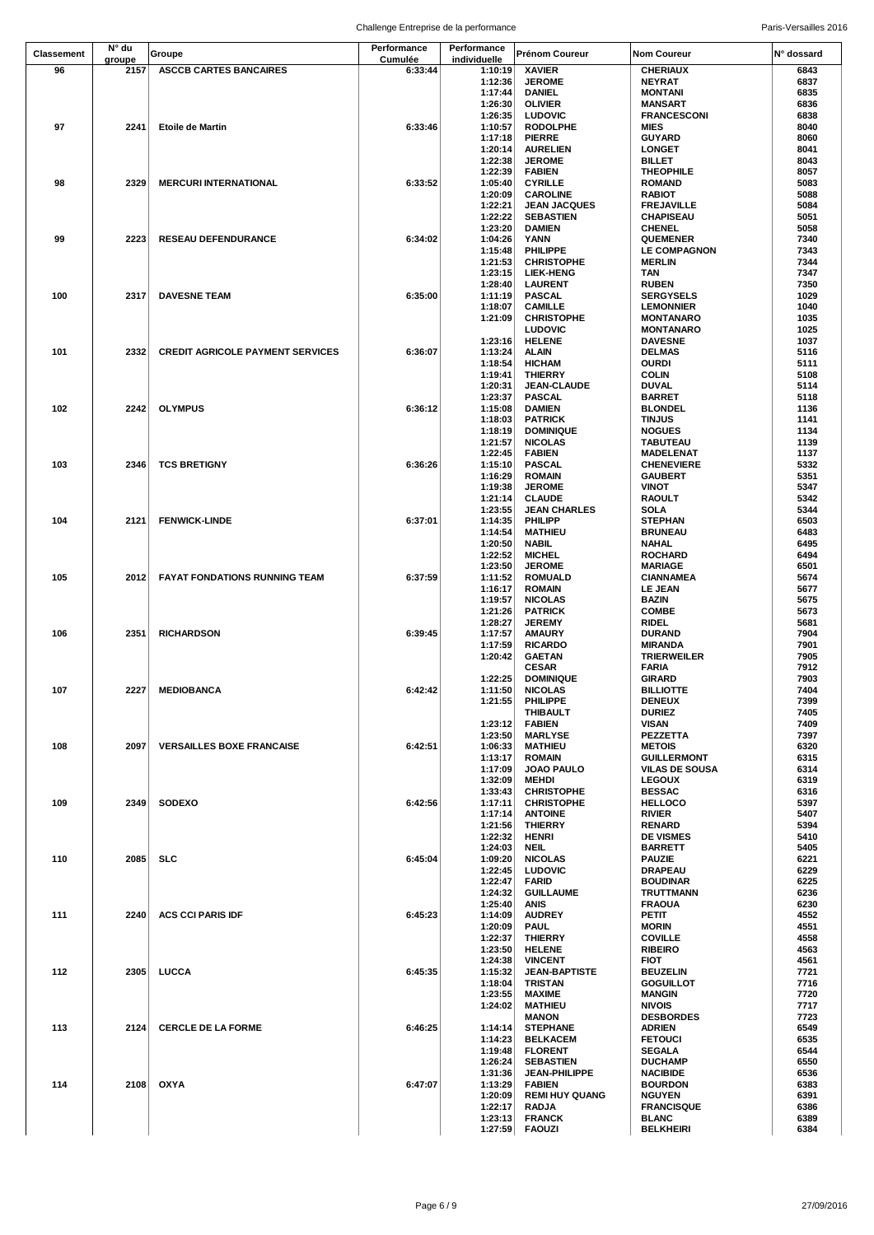| Classement | N° du  | Groupe                                  | Performance | Performance  | <b>Prénom Coureur</b> | Nom Coureur           | N° dossard |
|------------|--------|-----------------------------------------|-------------|--------------|-----------------------|-----------------------|------------|
|            | groupe |                                         | Cumulée     | individuelle |                       |                       |            |
| 96         | 2157   | <b>ASCCB CARTES BANCAIRES</b>           | 6:33:44     | 1:10:19      | <b>XAVIER</b>         | <b>CHERIAUX</b>       | 6843       |
|            |        |                                         |             | 1:12:36      | <b>JEROME</b>         | <b>NEYRAT</b>         | 6837       |
|            |        |                                         |             | 1:17:44      | <b>DANIEL</b>         | <b>MONTANI</b>        | 6835       |
|            |        |                                         |             | 1:26:30      | <b>OLIVIER</b>        | <b>MANSART</b>        | 6836       |
|            |        |                                         |             | 1:26:35      | <b>LUDOVIC</b>        | <b>FRANCESCONI</b>    | 6838       |
| 97         | 2241   | <b>Etoile de Martin</b>                 | 6:33:46     | 1:10:57      | <b>RODOLPHE</b>       | <b>MIES</b>           | 8040       |
|            |        |                                         |             |              |                       |                       |            |
|            |        |                                         |             | 1:17:18      | <b>PIERRE</b>         | <b>GUYARD</b>         | 8060       |
|            |        |                                         |             | 1:20:14      | <b>AURELIEN</b>       | <b>LONGET</b>         | 8041       |
|            |        |                                         |             | 1:22:38      | <b>JEROME</b>         | <b>BILLET</b>         | 8043       |
|            |        |                                         |             | 1:22:39      | <b>FABIEN</b>         | <b>THEOPHILE</b>      | 8057       |
| 98         | 2329   | <b>MERCURI INTERNATIONAL</b>            | 6:33:52     | 1:05:40      | <b>CYRILLE</b>        | <b>ROMAND</b>         | 5083       |
|            |        |                                         |             | 1:20:09      | <b>CAROLINE</b>       | <b>RABIOT</b>         | 5088       |
|            |        |                                         |             |              |                       |                       |            |
|            |        |                                         |             | 1:22:21      | <b>JEAN JACQUES</b>   | <b>FREJAVILLE</b>     | 5084       |
|            |        |                                         |             | 1:22:22      | <b>SEBASTIEN</b>      | <b>CHAPISEAU</b>      | 5051       |
|            |        |                                         |             | 1:23:20      | <b>DAMIEN</b>         | <b>CHENEL</b>         | 5058       |
| 99         | 2223   | <b>RESEAU DEFENDURANCE</b>              | 6:34:02     | 1:04:26      | YANN                  | <b>QUEMENER</b>       | 7340       |
|            |        |                                         |             | 1:15:48      | PHILIPPE              | <b>LE COMPAGNON</b>   | 7343       |
|            |        |                                         |             | 1:21:53      | <b>CHRISTOPHE</b>     | <b>MERLIN</b>         | 7344       |
|            |        |                                         |             | 1:23:15      | <b>LIEK-HENG</b>      | TAN                   | 7347       |
|            |        |                                         |             | 1:28:40      | <b>LAURENT</b>        | <b>RUBEN</b>          | 7350       |
|            |        |                                         |             |              |                       |                       |            |
| 100        | 2317   | <b>DAVESNE TEAM</b>                     | 6:35:00     | 1:11:19      | <b>PASCAL</b>         | <b>SERGYSELS</b>      | 1029       |
|            |        |                                         |             | 1:18:07      | <b>CAMILLE</b>        | <b>LEMONNIER</b>      | 1040       |
|            |        |                                         |             | 1:21:09      | <b>CHRISTOPHE</b>     | <b>MONTANARO</b>      | 1035       |
|            |        |                                         |             |              | <b>LUDOVIC</b>        | <b>MONTANARO</b>      | 1025       |
|            |        |                                         |             | 1:23:16      | <b>HELENE</b>         | <b>DAVESNE</b>        | 1037       |
| 101        | 2332   | <b>CREDIT AGRICOLE PAYMENT SERVICES</b> | 6:36:07     | 1:13:24      | <b>ALAIN</b>          | <b>DELMAS</b>         | 5116       |
|            |        |                                         |             | 1:18:54      | <b>HICHAM</b>         | <b>OURDI</b>          | 5111       |
|            |        |                                         |             |              |                       |                       | 5108       |
|            |        |                                         |             | 1:19:41      | <b>THIERRY</b>        | <b>COLIN</b>          |            |
|            |        |                                         |             | 1:20:31      | JEAN-CLAUDE           | <b>DUVAL</b>          | 5114       |
|            |        |                                         |             | 1:23:37      | <b>PASCAL</b>         | <b>BARRET</b>         | 5118       |
| 102        | 2242   | <b>OLYMPUS</b>                          | 6:36:12     | 1:15:08      | <b>DAMIEN</b>         | <b>BLONDEL</b>        | 1136       |
|            |        |                                         |             | 1:18:03      | <b>PATRICK</b>        | <b>TINJUS</b>         | 1141       |
|            |        |                                         |             | 1:18:19      | <b>DOMINIQUE</b>      | <b>NOGUES</b>         | 1134       |
|            |        |                                         |             | 1:21:57      | <b>NICOLAS</b>        | TABUTEAU              | 1139       |
|            |        |                                         |             |              |                       |                       |            |
|            |        |                                         |             | 1:22:45      | <b>FABIEN</b>         | <b>MADELENAT</b>      | 1137       |
| 103        | 2346   | <b>TCS BRETIGNY</b>                     | 6:36:26     | 1:15:10      | <b>PASCAL</b>         | <b>CHENEVIERE</b>     | 5332       |
|            |        |                                         |             | 1:16:29      | <b>ROMAIN</b>         | <b>GAUBERT</b>        | 5351       |
|            |        |                                         |             | 1:19:38      | <b>JEROME</b>         | VINOT                 | 5347       |
|            |        |                                         |             | 1:21:14      | <b>CLAUDE</b>         | RAOULT                | 5342       |
|            |        |                                         |             | 1:23:55      | <b>JEAN CHARLES</b>   | SOLA                  | 5344       |
|            |        |                                         |             |              |                       |                       |            |
| 104        | 2121   | <b>FENWICK-LINDE</b>                    | 6:37:01     | 1:14:35      | <b>PHILIPP</b>        | STEPHAN               | 6503       |
|            |        |                                         |             | 1:14:54      | <b>MATHIEU</b>        | <b>BRUNEAU</b>        | 6483       |
|            |        |                                         |             | 1:20:50      | <b>NABIL</b>          | <b>NAHAL</b>          | 6495       |
|            |        |                                         |             | 1:22:52      | <b>MICHEL</b>         | <b>ROCHARD</b>        | 6494       |
|            |        |                                         |             | 1:23:50      | <b>JEROME</b>         | <b>MARIAGE</b>        | 6501       |
| 105        | 2012   | <b>FAYAT FONDATIONS RUNNING TEAM</b>    | 6:37:59     | 1:11:52      | <b>ROMUALD</b>        | <b>CIANNAMEA</b>      | 5674       |
|            |        |                                         |             |              |                       |                       |            |
|            |        |                                         |             | 1:16:17      | <b>ROMAIN</b>         | <b>LE JEAN</b>        | 5677       |
|            |        |                                         |             | 1:19:57      | <b>NICOLAS</b>        | BAZIN                 | 5675       |
|            |        |                                         |             | 1:21:26      | <b>PATRICK</b>        | <b>COMBE</b>          | 5673       |
|            |        |                                         |             | 1:28:27      | <b>JEREMY</b>         | RIDEL                 | 5681       |
| 106        | 2351   | <b>RICHARDSON</b>                       | 6:39:45     | 1:17:57      | <b>AMAURY</b>         | <b>DURAND</b>         | 7904       |
|            |        |                                         |             | 1:17:59      | <b>RICARDO</b>        | <b>MIRANDA</b>        | 7901       |
|            |        |                                         |             |              |                       |                       |            |
|            |        |                                         |             | 1:20:42      | <b>GAETAN</b>         | <b>TRIERWEILER</b>    | 7905       |
|            |        |                                         |             |              | <b>CESAR</b>          | <b>FARIA</b>          | 7912       |
|            |        |                                         |             | 1:22:25      | <b>DOMINIQUE</b>      | <b>GIRARD</b>         | 7903       |
| 107        |        | 2227 MEDIOBANCA                         | 6:42:42     | 1:11:50      | <b>NICOLAS</b>        | <b>BILLIOTTE</b>      | 7404       |
|            |        |                                         |             | 1:21:55      | PHILIPPE              | <b>DENEUX</b>         | 7399       |
|            |        |                                         |             |              | <b>THIBAULT</b>       | <b>DURIEZ</b>         | 7405       |
|            |        |                                         |             | 1:23:12      | <b>FABIEN</b>         | <b>VISAN</b>          | 7409       |
|            |        |                                         |             |              |                       |                       |            |
|            |        |                                         |             | 1:23:50      | <b>MARLYSE</b>        | PEZZETTA              | 7397       |
| 108        | 2097   | <b>VERSAILLES BOXE FRANCAISE</b>        | 6:42:51     | 1:06:33      | <b>MATHIEU</b>        | <b>METOIS</b>         | 6320       |
|            |        |                                         |             | 1:13:17      | <b>ROMAIN</b>         | <b>GUILLERMONT</b>    | 6315       |
|            |        |                                         |             | 1:17:09      | <b>JOAO PAULO</b>     | <b>VILAS DE SOUSA</b> | 6314       |
|            |        |                                         |             | 1:32:09      | <b>MEHDI</b>          | <b>LEGOUX</b>         | 6319       |
|            |        |                                         |             | 1:33:43      | <b>CHRISTOPHE</b>     | <b>BESSAC</b>         | 6316       |
| 109        | 2349   | <b>SODEXO</b>                           | 6:42:56     | 1:17:11      | <b>CHRISTOPHE</b>     | <b>HELLOCO</b>        | 5397       |
|            |        |                                         |             |              |                       |                       |            |
|            |        |                                         |             | 1:17:14      | <b>ANTOINE</b>        | <b>RIVIER</b>         | 5407       |
|            |        |                                         |             | 1:21:56      | <b>THIERRY</b>        | <b>RENARD</b>         | 5394       |
|            |        |                                         |             | 1:22:32      | <b>HENRI</b>          | <b>DE VISMES</b>      | 5410       |
|            |        |                                         |             | 1:24:03      | NEIL                  | <b>BARRETT</b>        | 5405       |
| 110        | 2085   | <b>SLC</b>                              | 6:45:04     | 1:09:20      | <b>NICOLAS</b>        | <b>PAUZIE</b>         | 6221       |
|            |        |                                         |             | 1:22:45      | <b>LUDOVIC</b>        | <b>DRAPEAU</b>        | 6229       |
|            |        |                                         |             | 1:22:47      | FARID                 | <b>BOUDINAR</b>       | 6225       |
|            |        |                                         |             |              |                       |                       |            |
|            |        |                                         |             | 1:24:32      | <b>GUILLAUME</b>      | TRUTTMANN             | 6236       |
|            |        |                                         |             | 1:25:40      | ANIS                  | <b>FRAOUA</b>         | 6230       |
| 111        | 2240   | <b>ACS CCI PARIS IDF</b>                | 6:45:23     | 1:14:09      | <b>AUDREY</b>         | PETIT                 | 4552       |
|            |        |                                         |             | 1:20:09      | <b>PAUL</b>           | <b>MORIN</b>          | 4551       |
|            |        |                                         |             | 1:22:37      | <b>THIERRY</b>        | <b>COVILLE</b>        | 4558       |
|            |        |                                         |             | 1:23:50      | <b>HELENE</b>         | <b>RIBEIRO</b>        | 4563       |
|            |        |                                         |             | 1:24:38      | <b>VINCENT</b>        | <b>FIOT</b>           | 4561       |
|            |        |                                         |             |              |                       |                       |            |
| 112        | 2305   | LUCCA                                   | 6:45:35     | 1:15:32      | <b>JEAN-BAPTISTE</b>  | <b>BEUZELIN</b>       | 7721       |
|            |        |                                         |             | 1:18:04      | TRISTAN               | <b>GOGUILLOT</b>      | 7716       |
|            |        |                                         |             | 1:23:55      | <b>MAXIME</b>         | <b>MANGIN</b>         | 7720       |
|            |        |                                         |             | 1:24:02      | <b>MATHIEU</b>        | <b>NIVOIS</b>         | 7717       |
|            |        |                                         |             |              | <b>MANON</b>          | <b>DESBORDES</b>      | 7723       |
| 113        | 2124   | <b>CERCLE DE LA FORME</b>               | 6:46:25     | 1:14:14      | <b>STEPHANE</b>       | <b>ADRIEN</b>         | 6549       |
|            |        |                                         |             |              |                       |                       |            |
|            |        |                                         |             | 1:14:23      | <b>BELKACEM</b>       | <b>FETOUCI</b>        | 6535       |
|            |        |                                         |             | 1:19:48      | <b>FLORENT</b>        | SEGALA                | 6544       |
|            |        |                                         |             | 1:26:24      | <b>SEBASTIEN</b>      | <b>DUCHAMP</b>        | 6550       |
|            |        |                                         |             | 1:31:36      | <b>JEAN-PHILIPPE</b>  | <b>NACIBIDE</b>       | 6536       |
| 114        | 2108   | OXYA                                    | 6:47:07     | 1:13:29      | <b>FABIEN</b>         | <b>BOURDON</b>        | 6383       |
|            |        |                                         |             | 1:20:09      | <b>REMI HUY QUANG</b> | <b>NGUYEN</b>         | 6391       |
|            |        |                                         |             | 1:22:17      | <b>RADJA</b>          | <b>FRANCISQUE</b>     | 6386       |
|            |        |                                         |             |              |                       |                       |            |
|            |        |                                         |             | 1:23:13      | <b>FRANCK</b>         | <b>BLANC</b>          | 6389       |
|            |        |                                         |             | 1:27:59      | <b>FAOUZI</b>         | <b>BELKHEIRI</b>      | 6384       |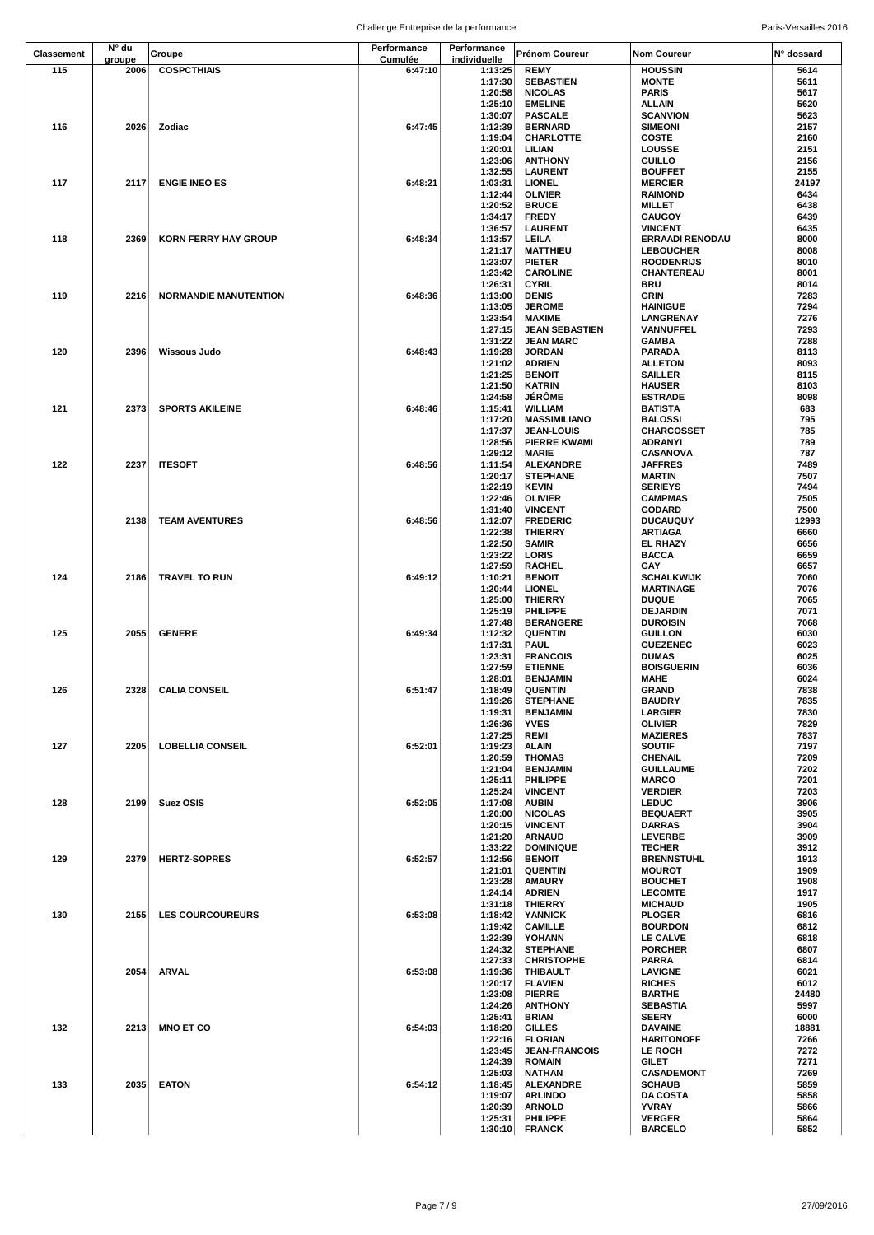| <b>Classement</b> | N° du          | Groupe                       | Performance        | Performance             | <b>Prénom Coureur</b>                    | <b>Nom Coureur</b>                         | N° dossard    |
|-------------------|----------------|------------------------------|--------------------|-------------------------|------------------------------------------|--------------------------------------------|---------------|
| 115               | groupe<br>2006 | <b>COSPCTHIAIS</b>           | Cumulée<br>6:47:10 | individuelle<br>1:13:25 | <b>REMY</b>                              | <b>HOUSSIN</b>                             | 5614          |
|                   |                |                              |                    | 1:17:30                 | <b>SEBASTIEN</b>                         | <b>MONTE</b>                               | 5611          |
|                   |                |                              |                    | 1:20:58                 | <b>NICOLAS</b>                           | <b>PARIS</b>                               | 5617          |
|                   |                |                              |                    | 1:25:10                 | <b>EMELINE</b>                           | ALLAIN                                     | 5620          |
| 116               | 2026           | Zodiac                       | 6:47:45            | 1:30:07<br>1:12:39      | <b>PASCALE</b><br><b>BERNARD</b>         | <b>SCANVION</b><br><b>SIMEONI</b>          | 5623<br>2157  |
|                   |                |                              |                    | 1:19:04                 | CHARLOTTE                                | COSTE                                      | 2160          |
|                   |                |                              |                    | 1:20:01                 | LILIAN                                   | LOUSSE                                     | 2151          |
|                   |                |                              |                    | 1:23:06                 | <b>ANTHONY</b>                           | <b>GUILLO</b>                              | 2156          |
| 117               | 2117           |                              | 6:48:21            | 1:32:55                 | <b>LAURENT</b>                           | <b>BOUFFET</b>                             | 2155<br>24197 |
|                   |                | <b>ENGIE INEO ES</b>         |                    | 1:03:31<br>1:12:44      | <b>LIONEL</b><br><b>OLIVIER</b>          | <b>MERCIER</b><br><b>RAIMOND</b>           | 6434          |
|                   |                |                              |                    | 1:20:52                 | <b>BRUCE</b>                             | <b>MILLET</b>                              | 6438          |
|                   |                |                              |                    | 1:34:17                 | <b>FREDY</b>                             | <b>GAUGOY</b>                              | 6439          |
|                   |                |                              |                    | 1:36:57                 | <b>LAURENT</b>                           | <b>VINCENT</b>                             | 6435          |
| 118               | 2369           | <b>KORN FERRY HAY GROUP</b>  | 6:48:34            | 1:13:57<br>1:21:17      | LEILA<br><b>MATTHIEU</b>                 | <b>ERRAADI RENODAU</b><br><b>LEBOUCHER</b> | 8000<br>8008  |
|                   |                |                              |                    | 1:23:07                 | <b>PIETER</b>                            | <b>ROODENRIJS</b>                          | 8010          |
|                   |                |                              |                    | 1:23:42                 | <b>CAROLINE</b>                          | CHANTEREAU                                 | 8001          |
|                   |                |                              |                    | 1:26:31                 | <b>CYRIL</b>                             | BRU                                        | 8014          |
| 119               | 2216           | <b>NORMANDIE MANUTENTION</b> | 6:48:36            | 1:13:00<br>1:13:05      | <b>DENIS</b><br><b>JEROME</b>            | GRIN<br><b>HAINIGUE</b>                    | 7283<br>7294  |
|                   |                |                              |                    | 1:23:54                 | <b>MAXIME</b>                            | LANGRENAY                                  | 7276          |
|                   |                |                              |                    | 1:27:15                 | <b>JEAN SEBASTIEN</b>                    | VANNUFFEL                                  | 7293          |
|                   |                |                              |                    | 1:31:22                 | <b>JEAN MARC</b>                         | GAMBA                                      | 7288          |
| 120               | 2396           | Wissous Judo                 | 6:48:43            | 1:19:28                 | <b>JORDAN</b>                            | PARADA                                     | 8113<br>8093  |
|                   |                |                              |                    | 1:21:02<br>1:21:25      | <b>ADRIEN</b><br><b>BENOIT</b>           | <b>ALLETON</b><br>SAILLER                  | 8115          |
|                   |                |                              |                    | 1:21:50                 | <b>KATRIN</b>                            | <b>HAUSER</b>                              | 8103          |
|                   |                |                              |                    | 1:24:58                 | <b>JÉRÔME</b>                            | <b>ESTRADE</b>                             | 8098          |
| 121               | 2373           | <b>SPORTS AKILEINE</b>       | 6:48:46            | 1:15:41                 | <b>WILLIAM</b>                           | <b>BATISTA</b>                             | 683<br>795    |
|                   |                |                              |                    | 1:17:20<br>1:17:37      | <b>MASSIMILIANO</b><br><b>JEAN-LOUIS</b> | <b>BALOSSI</b><br>CHARCOSSET               | 785           |
|                   |                |                              |                    | 1:28:56                 | <b>PIERRE KWAMI</b>                      | ADRANYI                                    | 789           |
|                   |                |                              |                    | 1:29:12                 | MARIE                                    | CASANOVA                                   | 787           |
| 122               | 2237           | <b>ITESOFT</b>               | 6:48:56            | 1:11:54                 | <b>ALEXANDRE</b>                         | <b>JAFFRES</b>                             | 7489          |
|                   |                |                              |                    | 1:20:17<br>1:22:19      | <b>STEPHANE</b><br><b>KEVIN</b>          | <b>MARTIN</b><br><b>SERIEYS</b>            | 7507<br>7494  |
|                   |                |                              |                    | 1:22:46                 | <b>OLIVIER</b>                           | <b>CAMPMAS</b>                             | 7505          |
|                   |                |                              |                    | 1:31:40                 | <b>VINCENT</b>                           | <b>GODARD</b>                              | 7500          |
|                   | 2138           | <b>TEAM AVENTURES</b>        | 6:48:56            | 1:12:07                 | <b>FREDERIC</b>                          | <b>DUCAUQUY</b>                            | 12993         |
|                   |                |                              |                    | 1:22:38                 | <b>THIERRY</b>                           | <b>ARTIAGA</b>                             | 6660          |
|                   |                |                              |                    | 1:22:50<br>1:23:22      | <b>SAMIR</b><br>LORIS                    | <b>EL RHAZY</b><br><b>BACCA</b>            | 6656<br>6659  |
|                   |                |                              |                    | 1:27:59                 | <b>RACHEL</b>                            | GAY                                        | 6657          |
| 124               | 2186           | <b>TRAVEL TO RUN</b>         | 6:49:12            | 1:10:21                 | <b>BENOIT</b>                            | <b>SCHALKWIJK</b>                          | 7060          |
|                   |                |                              |                    | 1:20:44                 | <b>LIONEL</b>                            | <b>MARTINAGE</b>                           | 7076          |
|                   |                |                              |                    | 1:25:00<br>1:25:19      | <b>THIERRY</b><br>PHILIPPE               | <b>DUQUE</b><br><b>DEJARDIN</b>            | 7065<br>7071  |
|                   |                |                              |                    | 1:27:48                 | <b>BERANGERE</b>                         | <b>DUROISIN</b>                            | 7068          |
| 125               | 2055           | <b>GENERE</b>                | 6:49:34            | 1:12:32                 | <b>QUENTIN</b>                           | <b>GUILLON</b>                             | 6030          |
|                   |                |                              |                    | 1:17:31                 | <b>PAUL</b>                              | <b>GUEZENEC</b>                            | 6023          |
|                   |                |                              |                    | 1:23:31<br>1:27:59      | <b>FRANCOIS</b><br><b>ETIENNE</b>        | <b>DUMAS</b><br><b>BOISGUERIN</b>          | 6025<br>6036  |
|                   |                |                              |                    | 1:28:01                 | <b>BENJAMIN</b>                          | <b>MAHE</b>                                | 6024          |
| 126               |                | 2328 CALIA CONSEIL           | 6:51:47            | 1:18:49                 | <b>QUENTIN</b>                           | <b>GRAND</b>                               | 7838          |
|                   |                |                              |                    | 1:19:26                 | <b>STEPHANE</b>                          | <b>BAUDRY</b>                              | 7835          |
|                   |                |                              |                    | 1:19:31<br>1:26:36      | <b>BENJAMIN</b><br><b>YVES</b>           | <b>LARGIER</b><br><b>OLIVIER</b>           | 7830<br>7829  |
|                   |                |                              |                    | 1:27:25                 | REMI                                     | <b>MAZIERES</b>                            | 7837          |
| 127               | 2205           | <b>LOBELLIA CONSEIL</b>      | 6:52:01            | 1:19:23                 | <b>ALAIN</b>                             | <b>SOUTIF</b>                              | 7197          |
|                   |                |                              |                    | 1:20:59                 | THOMAS                                   | <b>CHENAIL</b>                             | 7209          |
|                   |                |                              |                    | 1:21:04<br>1:25:11      | <b>BENJAMIN</b><br>PHILIPPE              | <b>GUILLAUME</b><br><b>MARCO</b>           | 7202<br>7201  |
|                   |                |                              |                    | 1:25:24                 | <b>VINCENT</b>                           | <b>VERDIER</b>                             | 7203          |
| 128               | 2199           | Suez OSIS                    | 6:52:05            | 1:17:08                 | <b>AUBIN</b>                             | <b>LEDUC</b>                               | 3906          |
|                   |                |                              |                    | 1:20:00                 | <b>NICOLAS</b>                           | <b>BEQUAERT</b>                            | 3905          |
|                   |                |                              |                    | 1:20:15<br>1:21:20      | <b>VINCENT</b><br><b>ARNAUD</b>          | <b>DARRAS</b><br><b>LEVERBE</b>            | 3904<br>3909  |
|                   |                |                              |                    | 1:33:22                 | <b>DOMINIQUE</b>                         | <b>TECHER</b>                              | 3912          |
| 129               | 2379           | <b>HERTZ-SOPRES</b>          | 6:52:57            | 1:12:56                 | <b>BENOIT</b>                            | <b>BRENNSTUHL</b>                          | 1913          |
|                   |                |                              |                    | 1:21:01                 | <b>QUENTIN</b>                           | <b>MOUROT</b>                              | 1909          |
|                   |                |                              |                    | 1:23:28<br>1:24:14      | <b>AMAURY</b><br><b>ADRIEN</b>           | <b>BOUCHET</b>                             | 1908<br>1917  |
|                   |                |                              |                    | 1:31:18                 | <b>THIERRY</b>                           | <b>LECOMTE</b><br><b>MICHAUD</b>           | 1905          |
| 130               | 2155           | <b>LES COURCOUREURS</b>      | 6:53:08            | 1:18:42                 | <b>YANNICK</b>                           | <b>PLOGER</b>                              | 6816          |
|                   |                |                              |                    | 1:19:42                 | <b>CAMILLE</b>                           | <b>BOURDON</b>                             | 6812          |
|                   |                |                              |                    | 1:22:39                 | YOHANN                                   | LE CALVE                                   | 6818          |
|                   |                |                              |                    | 1:24:32<br>1:27:33      | <b>STEPHANE</b><br><b>CHRISTOPHE</b>     | <b>PORCHER</b><br><b>PARRA</b>             | 6807<br>6814  |
|                   | 2054           | ARVAL                        | 6:53:08            | 1:19:36                 | <b>THIBAULT</b>                          | <b>LAVIGNE</b>                             | 6021          |
|                   |                |                              |                    | 1:20:17                 | <b>FLAVIEN</b>                           | <b>RICHES</b>                              | 6012          |
|                   |                |                              |                    | 1:23:08                 | <b>PIERRE</b>                            | <b>BARTHE</b>                              | 24480         |
|                   |                |                              |                    | 1:24:26<br>1:25:41      | <b>ANTHONY</b><br>BRIAN                  | <b>SEBASTIA</b><br><b>SEERY</b>            | 5997<br>6000  |
| 132               | 2213           | <b>MNO ET CO</b>             | 6:54:03            | 1:18:20                 | <b>GILLES</b>                            | <b>DAVAINE</b>                             | 18881         |
|                   |                |                              |                    | 1:22:16                 | <b>FLORIAN</b>                           | <b>HARITONOFF</b>                          | 7266          |
|                   |                |                              |                    | 1:23:45                 | <b>JEAN-FRANCOIS</b>                     | LE ROCH                                    | 7272          |
|                   |                |                              |                    | 1:24:39<br>1:25:03      | <b>ROMAIN</b>                            | <b>GILET</b><br><b>CASADEMONT</b>          | 7271<br>7269  |
| 133               | 2035           | <b>EATON</b>                 | 6:54:12            | 1:18:45                 | <b>NATHAN</b><br><b>ALEXANDRE</b>        | <b>SCHAUB</b>                              | 5859          |
|                   |                |                              |                    | 1:19:07                 | <b>ARLINDO</b>                           | <b>DA COSTA</b>                            | 5858          |
|                   |                |                              |                    | 1:20:39                 | <b>ARNOLD</b>                            | <b>YVRAY</b>                               | 5866          |
|                   |                |                              |                    | 1:25:31                 | PHILIPPE                                 | <b>VERGER</b>                              | 5864          |
|                   |                |                              |                    | 1:30:10                 | <b>FRANCK</b>                            | <b>BARCELO</b>                             | 5852          |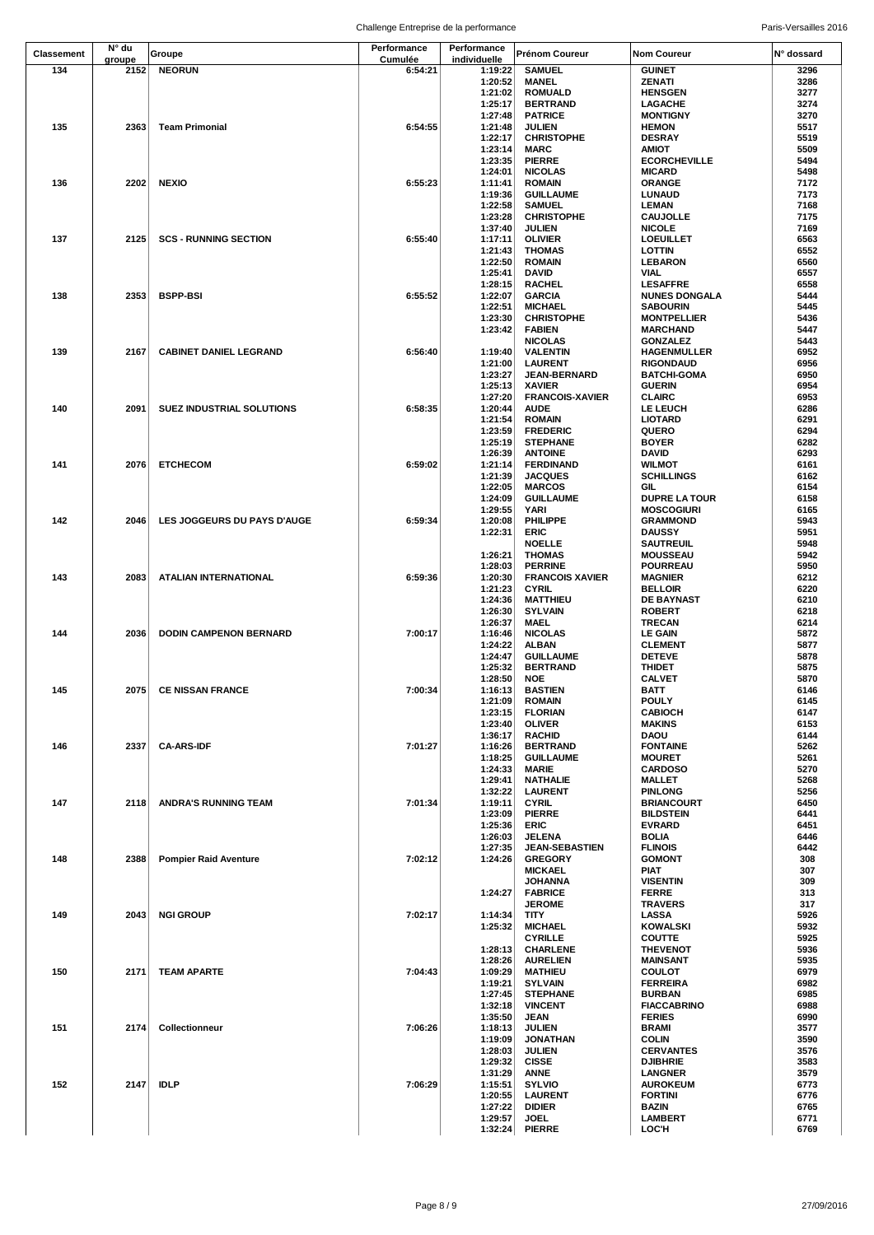|            | N° du  |                                  | Performance | Performance        |                                          |                                       |              |
|------------|--------|----------------------------------|-------------|--------------------|------------------------------------------|---------------------------------------|--------------|
| Classement | groupe | Groupe                           | Cumulée     | individuelle       | Prénom Coureur                           | <b>Nom Coureur</b>                    | N° dossard   |
| 134        | 2152   | <b>NEORUN</b>                    | 6:54:21     | 1:19:22            | <b>SAMUEL</b>                            | <b>GUINET</b>                         | 3296         |
|            |        |                                  |             | 1:20:52            | <b>MANEL</b>                             | <b>ZENATI</b>                         | 3286         |
|            |        |                                  |             | 1:21:02            | <b>ROMUALD</b>                           | <b>HENSGEN</b>                        | 3277         |
|            |        |                                  |             | 1:25:17            | <b>BERTRAND</b>                          | LAGACHE                               | 3274         |
|            |        |                                  |             | 1:27:48            | <b>PATRICE</b>                           | <b>MONTIGNY</b>                       | 3270         |
| 135        | 2363   | <b>Team Primonial</b>            | 6:54:55     | 1:21:48<br>1:22:17 | <b>JULIEN</b><br><b>CHRISTOPHE</b>       | <b>HEMON</b><br><b>DESRAY</b>         | 5517<br>5519 |
|            |        |                                  |             | 1:23:14            | <b>MARC</b>                              | AMIOT                                 | 5509         |
|            |        |                                  |             | 1:23:35            | <b>PIERRE</b>                            | <b>ECORCHEVILLE</b>                   | 5494         |
|            |        |                                  |             | 1:24:01            | <b>NICOLAS</b>                           | <b>MICARD</b>                         | 5498         |
| 136        | 2202   | <b>NEXIO</b>                     | 6:55:23     | 1:11:41            | <b>ROMAIN</b>                            | <b>ORANGE</b>                         | 7172         |
|            |        |                                  |             | 1:19:36            | <b>GUILLAUME</b>                         | <b>LUNAUD</b>                         | 7173         |
|            |        |                                  |             | 1:22:58            | <b>SAMUEL</b>                            | LEMAN                                 | 7168         |
|            |        |                                  |             | 1:23:28            | <b>CHRISTOPHE</b>                        | <b>CAUJOLLE</b>                       | 7175         |
| 137        | 2125   | <b>SCS - RUNNING SECTION</b>     | 6:55:40     | 1:37:40<br>1:17:11 | <b>JULIEN</b><br><b>OLIVIER</b>          | <b>NICOLE</b><br><b>LOEUILLET</b>     | 7169<br>6563 |
|            |        |                                  |             | 1:21:43            | <b>THOMAS</b>                            | <b>LOTTIN</b>                         | 6552         |
|            |        |                                  |             | 1:22:50            | <b>ROMAIN</b>                            | <b>LEBARON</b>                        | 6560         |
|            |        |                                  |             | 1:25:41            | <b>DAVID</b>                             | VIAL                                  | 6557         |
|            |        |                                  |             | 1:28:15            | <b>RACHEL</b>                            | <b>LESAFFRE</b>                       | 6558         |
| 138        | 2353   | <b>BSPP-BSI</b>                  | 6:55:52     | 1:22:07            | <b>GARCIA</b>                            | <b>NUNES DONGALA</b>                  | 5444         |
|            |        |                                  |             | 1:22:51<br>1:23:30 | <b>MICHAEL</b><br><b>CHRISTOPHE</b>      | <b>SABOURIN</b>                       | 5445<br>5436 |
|            |        |                                  |             | 1:23:42            | <b>FABIEN</b>                            | <b>MONTPELLIER</b><br><b>MARCHAND</b> | 5447         |
|            |        |                                  |             |                    | <b>NICOLAS</b>                           | <b>GONZALEZ</b>                       | 5443         |
| 139        | 2167   | <b>CABINET DANIEL LEGRAND</b>    | 6:56:40     | 1:19:40            | <b>VALENTIN</b>                          | <b>HAGENMULLER</b>                    | 6952         |
|            |        |                                  |             | 1:21:00            | <b>LAURENT</b>                           | <b>RIGONDAUD</b>                      | 6956         |
|            |        |                                  |             | 1:23:27            | <b>JEAN-BERNARD</b>                      | <b>BATCHI-GOMA</b>                    | 6950         |
|            |        |                                  |             | 1:25:13            | <b>XAVIER</b>                            | <b>GUERIN</b>                         | 6954         |
| 140        | 2091   | <b>SUEZ INDUSTRIAL SOLUTIONS</b> | 6:58:35     | 1:27:20<br>1:20:44 | <b>FRANCOIS-XAVIER</b><br><b>AUDE</b>    | <b>CLAIRC</b><br><b>LE LEUCH</b>      | 6953<br>6286 |
|            |        |                                  |             | 1:21:54            | <b>ROMAIN</b>                            | <b>LIOTARD</b>                        | 6291         |
|            |        |                                  |             | 1:23:59            | <b>FREDERIC</b>                          | QUERO                                 | 6294         |
|            |        |                                  |             | 1:25:19            | <b>STEPHANE</b>                          | <b>BOYER</b>                          | 6282         |
|            |        |                                  |             | 1:26:39            | <b>ANTOINE</b>                           | <b>DAVID</b>                          | 6293         |
| 141        | 2076   | <b>ETCHECOM</b>                  | 6:59:02     | 1:21:14            | <b>FERDINAND</b>                         | <b>WILMOT</b>                         | 6161         |
|            |        |                                  |             | 1:21:39            | <b>JACQUES</b>                           | <b>SCHILLINGS</b>                     | 6162<br>6154 |
|            |        |                                  |             | 1:22:05<br>1:24:09 | <b>MARCOS</b><br><b>GUILLAUME</b>        | GIL<br><b>DUPRE LA TOUR</b>           | 6158         |
|            |        |                                  |             | 1:29:55            | YARI                                     | <b>MOSCOGIURI</b>                     | 6165         |
| 142        | 2046   | LES JOGGEURS DU PAYS D'AUGE      | 6:59:34     | 1:20:08            | PHILIPPE                                 | <b>GRAMMOND</b>                       | 5943         |
|            |        |                                  |             | 1:22:31            | <b>ERIC</b>                              | <b>DAUSSY</b>                         | 5951         |
|            |        |                                  |             |                    | <b>NOELLE</b>                            | <b>SAUTREUIL</b>                      | 5948         |
|            |        |                                  |             | 1:26:21            | <b>THOMAS</b>                            | <b>MOUSSEAU</b>                       | 5942         |
| 143        | 2083   | ATALIAN INTERNATIONAL            | 6:59:36     | 1:28:03<br>1:20:30 | <b>PERRINE</b><br><b>FRANCOIS XAVIER</b> | <b>POURREAU</b><br><b>MAGNIER</b>     | 5950<br>6212 |
|            |        |                                  |             | 1:21:23            | <b>CYRIL</b>                             | <b>BELLOIR</b>                        | 6220         |
|            |        |                                  |             | 1:24:36            | <b>MATTHIEU</b>                          | <b>DE BAYNAST</b>                     | 6210         |
|            |        |                                  |             | 1:26:30            | <b>SYLVAIN</b>                           | <b>ROBERT</b>                         | 6218         |
|            |        |                                  |             | 1:26:37            | <b>MAEL</b>                              | <b>TRECAN</b>                         | 6214         |
| 144        | 2036   | <b>DODIN CAMPENON BERNARD</b>    | 7:00:17     | 1:16:46            | <b>NICOLAS</b>                           | <b>LE GAIN</b>                        | 5872         |
|            |        |                                  |             | 1:24:22<br>1:24:47 | ALBAN<br><b>GUILLAUME</b>                | <b>CLEMENT</b><br><b>DETEVE</b>       | 5877<br>5878 |
|            |        |                                  |             | 1:25:32            | <b>BERTRAND</b>                          | <b>THIDET</b>                         | 5875         |
|            |        |                                  |             | 1:28:50            | <b>NOE</b>                               | <b>CALVET</b>                         | 5870         |
| 145        |        | 2075 CE NISSAN FRANCE            | 7:00:34     | 1:16:13            | <b>BASTIEN</b>                           | BATT                                  | 6146         |
|            |        |                                  |             | 1:21:09            | <b>ROMAIN</b>                            | <b>POULY</b>                          | 6145         |
|            |        |                                  |             | 1:23:15            | <b>FLORIAN</b>                           | <b>CABIOCH</b>                        | 6147         |
|            |        |                                  |             | 1:23:40<br>1:36:17 | <b>OLIVER</b><br><b>RACHID</b>           | <b>MAKINS</b><br>DAOU                 | 6153<br>6144 |
| 146        | 2337   | <b>CA-ARS-IDF</b>                | 7:01:27     | 1:16:26            | <b>BERTRAND</b>                          | <b>FONTAINE</b>                       | 5262         |
|            |        |                                  |             | 1:18:25            | <b>GUILLAUME</b>                         | <b>MOURET</b>                         | 5261         |
|            |        |                                  |             | 1:24:33            | <b>MARIE</b>                             | <b>CARDOSO</b>                        | 5270         |
|            |        |                                  |             | 1:29:41            | <b>NATHALIE</b>                          | <b>MALLET</b>                         | 5268         |
|            |        |                                  |             | 1:32:22            | <b>LAURENT</b>                           | <b>PINLONG</b>                        | 5256         |
| 147        | 2118   | <b>ANDRA'S RUNNING TEAM</b>      | 7:01:34     | 1:19:11            | <b>CYRIL</b>                             | <b>BRIANCOURT</b>                     | 6450         |
|            |        |                                  |             | 1:23:09<br>1:25:36 | <b>PIERRE</b><br><b>ERIC</b>             | <b>BILDSTEIN</b><br><b>EVRARD</b>     | 6441<br>6451 |
|            |        |                                  |             | 1:26:03            | JELENA                                   | <b>BOLIA</b>                          | 6446         |
|            |        |                                  |             | 1:27:35            | <b>JEAN-SEBASTIEN</b>                    | <b>FLINOIS</b>                        | 6442         |
| 148        | 2388   | <b>Pompier Raid Aventure</b>     | 7:02:12     | 1:24:26            | <b>GREGORY</b>                           | <b>GOMONT</b>                         | 308          |
|            |        |                                  |             |                    | <b>MICKAEL</b>                           | <b>PIAT</b>                           | 307          |
|            |        |                                  |             |                    | <b>JOHANNA</b>                           | <b>VISENTIN</b>                       | 309          |
|            |        |                                  |             | 1:24:27            | <b>FABRICE</b>                           | <b>FERRE</b>                          | 313          |
| 149        | 2043   | <b>NGI GROUP</b>                 | 7:02:17     | 1:14:34            | <b>JEROME</b><br><b>TITY</b>             | <b>TRAVERS</b><br><b>LASSA</b>        | 317<br>5926  |
|            |        |                                  |             | 1:25:32            | <b>MICHAEL</b>                           | <b>KOWALSKI</b>                       | 5932         |
|            |        |                                  |             |                    | <b>CYRILLE</b>                           | <b>COUTTE</b>                         | 5925         |
|            |        |                                  |             | 1:28:13            | <b>CHARLENE</b>                          | <b>THEVENOT</b>                       | 5936         |
|            |        |                                  |             | 1:28:26            | <b>AURELIEN</b>                          | <b>MAINSANT</b>                       | 5935         |
| 150        | 2171   | <b>TEAM APARTE</b>               | 7:04:43     | 1:09:29            | <b>MATHIEU</b>                           | <b>COULOT</b>                         | 6979         |
|            |        |                                  |             | 1:19:21<br>1:27:45 | <b>SYLVAIN</b><br><b>STEPHANE</b>        | <b>FERREIRA</b><br><b>BURBAN</b>      | 6982<br>6985 |
|            |        |                                  |             | 1:32:18            | <b>VINCENT</b>                           | <b>FIACCABRINO</b>                    | 6988         |
|            |        |                                  |             | 1:35:50            | <b>JEAN</b>                              | <b>FERIES</b>                         | 6990         |
| 151        | 2174   | Collectionneur                   | 7:06:26     | 1:18:13            | <b>JULIEN</b>                            | <b>BRAMI</b>                          | 3577         |
|            |        |                                  |             | 1:19:09            | <b>JONATHAN</b>                          | <b>COLIN</b>                          | 3590         |
|            |        |                                  |             | 1:28:03            | <b>JULIEN</b>                            | <b>CERVANTES</b>                      | 3576         |
|            |        |                                  |             | 1:29:32            | <b>CISSE</b>                             | <b>DJIBHRIE</b>                       | 3583         |
| 152        | 2147   | <b>IDLP</b>                      | 7:06:29     | 1:31:29<br>1:15:51 | <b>ANNE</b><br><b>SYLVIO</b>             | <b>LANGNER</b><br><b>AUROKEUM</b>     | 3579<br>6773 |
|            |        |                                  |             | 1:20:55            | <b>LAURENT</b>                           | <b>FORTINI</b>                        | 6776         |
|            |        |                                  |             | 1:27:22            | <b>DIDIER</b>                            | BAZIN                                 | 6765         |
|            |        |                                  |             | 1:29:57            | <b>JOEL</b>                              | <b>LAMBERT</b>                        | 6771         |
|            |        |                                  |             | 1:32:24            | <b>PIERRE</b>                            | LOC'H                                 | 6769         |